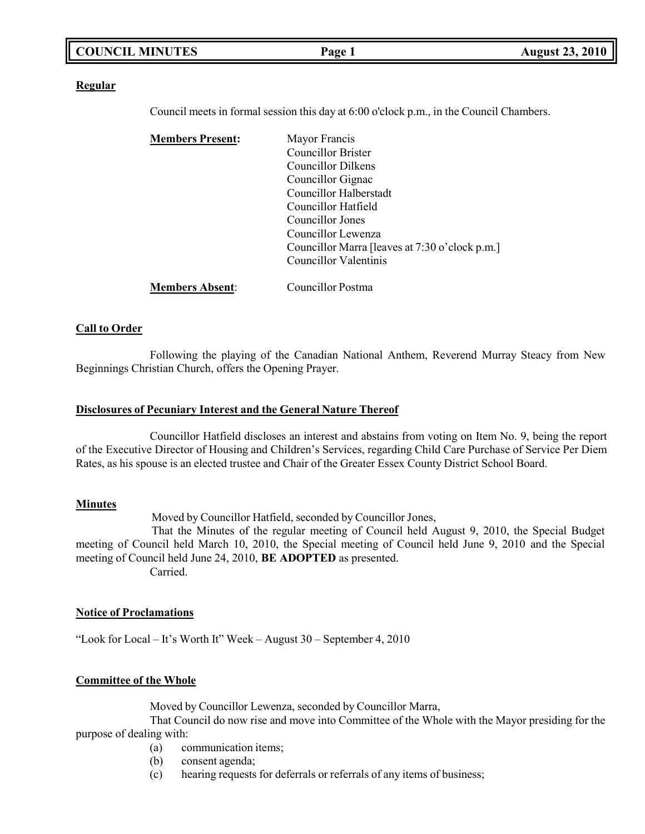### **COUNCIL MINUTES Page 1 August 23, 2010**

### **Regular**

Council meets in formal session this day at 6:00 o'clock p.m., in the Council Chambers.

| <b>Members Present:</b> | Mayor Francis                                  |
|-------------------------|------------------------------------------------|
|                         | <b>Councillor Brister</b>                      |
|                         | Councillor Dilkens                             |
|                         | Councillor Gignac                              |
|                         | Councillor Halberstadt                         |
|                         | Councillor Hatfield                            |
|                         | Councillor Jones                               |
|                         | Councillor Lewenza                             |
|                         | Councillor Marra [leaves at 7:30 o'clock p.m.] |
|                         | Councillor Valentinis                          |
| <b>Members Absent:</b>  | Councillor Postma                              |

### **Call to Order**

Following the playing of the Canadian National Anthem, Reverend Murray Steacy from New Beginnings Christian Church, offers the Opening Prayer.

### **Disclosures of Pecuniary Interest and the General Nature Thereof**

Councillor Hatfield discloses an interest and abstains from voting on Item No. 9, being the report of the Executive Director of Housing and Children's Services, regarding Child Care Purchase of Service Per Diem Rates, as his spouse is an elected trustee and Chair of the Greater Essex County District School Board.

### **Minutes**

Moved by Councillor Hatfield, seconded by Councillor Jones,

That the Minutes of the regular meeting of Council held August 9, 2010, the Special Budget meeting of Council held March 10, 2010, the Special meeting of Council held June 9, 2010 and the Special meeting of Council held June 24, 2010, **BE ADOPTED** as presented. Carried.

### **Notice of Proclamations**

"Look for Local – It's Worth It" Week – August 30 – September 4, 2010

### **Committee of the Whole**

Moved by Councillor Lewenza, seconded by Councillor Marra,

That Council do now rise and move into Committee of the Whole with the Mayor presiding for the purpose of dealing with:

- (a) communication items;
- (b) consent agenda;
- (c) hearing requests for deferrals or referrals of any items of business;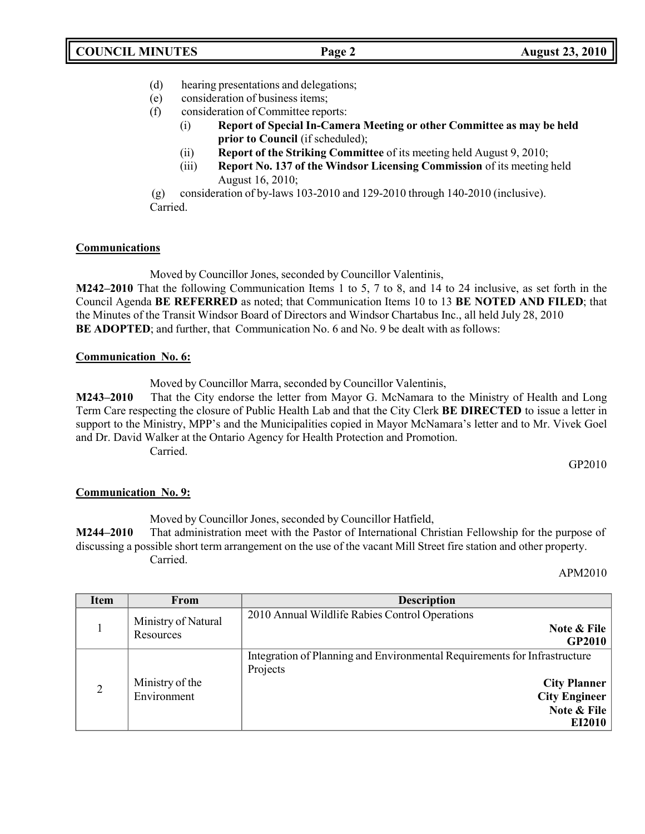- (d) hearing presentations and delegations;
- (e) consideration of business items;
- (f) consideration of Committee reports:
	- (i) **Report of Special In-Camera Meeting or other Committee as may be held prior to Council** (if scheduled);
	- (ii) **Report of the Striking Committee** of its meeting held August 9, 2010;
	- (iii) **Report No. 137 of the Windsor Licensing Commission** of its meeting held August 16, 2010;

(g) consideration of by-laws 103-2010 and 129-2010 through 140-2010 (inclusive). Carried.

### **Communications**

Moved by Councillor Jones, seconded by Councillor Valentinis,

**M242–2010** That the following Communication Items 1 to 5, 7 to 8, and 14 to 24 inclusive, as set forth in the Council Agenda **BE REFERRED** as noted; that Communication Items 10 to 13 **BE NOTED AND FILED**; that the Minutes of the Transit Windsor Board of Directors and Windsor Chartabus Inc., all held July 28, 2010 **BE ADOPTED**; and further, that Communication No. 6 and No. 9 be dealt with as follows:

### **Communication No. 6:**

Moved by Councillor Marra, seconded by Councillor Valentinis,

**M243–2010** That the City endorse the letter from Mayor G. McNamara to the Ministry of Health and Long Term Care respecting the closure of Public Health Lab and that the City Clerk **BE DIRECTED** to issue a letter in support to the Ministry, MPP's and the Municipalities copied in Mayor McNamara's letter and to Mr. Vivek Goel and Dr. David Walker at the Ontario Agency for Health Protection and Promotion. Carried.

GP2010

### **Communication No. 9:**

Moved by Councillor Jones, seconded by Councillor Hatfield,

**M244–2010** That administration meet with the Pastor of International Christian Fellowship for the purpose of discussing a possible short term arrangement on the use of the vacant Mill Street fire station and other property. Carried.

APM2010

| Item           | From                             | <b>Description</b>                                                                                                                                            |
|----------------|----------------------------------|---------------------------------------------------------------------------------------------------------------------------------------------------------------|
|                | Ministry of Natural<br>Resources | 2010 Annual Wildlife Rabies Control Operations<br>Note & File<br><b>GP2010</b>                                                                                |
| $\overline{2}$ | Ministry of the<br>Environment   | Integration of Planning and Environmental Requirements for Infrastructure<br>Projects<br><b>City Planner</b><br><b>City Engineer</b><br>Note & File<br>EI2010 |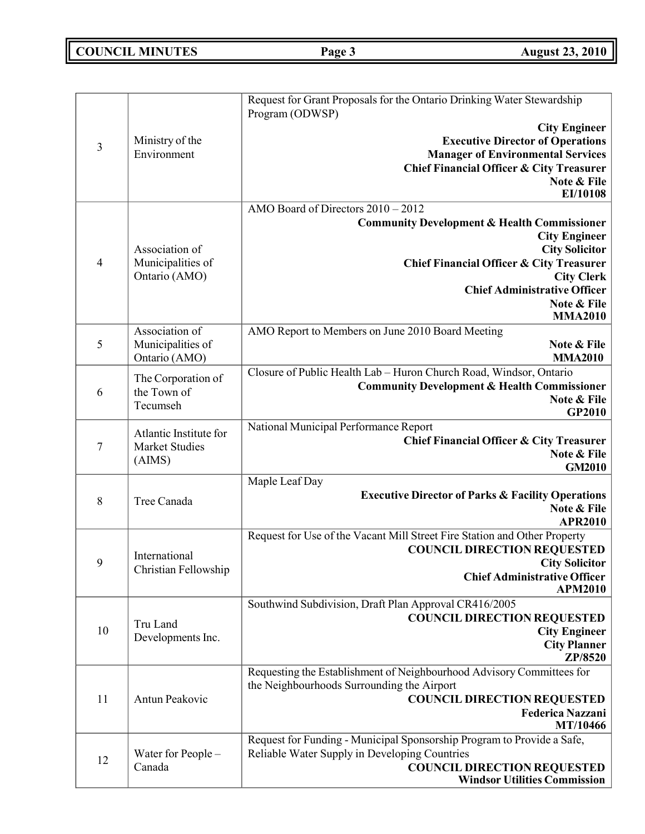# **COUNCIL MINUTES Page 3 August 23, 2010**

|                |                                     | Request for Grant Proposals for the Ontario Drinking Water Stewardship              |
|----------------|-------------------------------------|-------------------------------------------------------------------------------------|
|                |                                     | Program (ODWSP)<br><b>City Engineer</b>                                             |
|                | Ministry of the                     | <b>Executive Director of Operations</b>                                             |
| 3              | Environment                         | <b>Manager of Environmental Services</b>                                            |
|                |                                     | <b>Chief Financial Officer &amp; City Treasurer</b>                                 |
|                |                                     | Note & File                                                                         |
|                |                                     | EI/10108                                                                            |
|                |                                     | AMO Board of Directors $2010 - 2012$                                                |
|                |                                     | <b>Community Development &amp; Health Commissioner</b>                              |
|                | Association of                      | <b>City Engineer</b><br><b>City Solicitor</b>                                       |
| $\overline{4}$ | Municipalities of                   | <b>Chief Financial Officer &amp; City Treasurer</b>                                 |
|                | Ontario (AMO)                       | <b>City Clerk</b>                                                                   |
|                |                                     | <b>Chief Administrative Officer</b>                                                 |
|                |                                     | Note & File                                                                         |
|                |                                     | <b>MMA2010</b>                                                                      |
| 5              | Association of<br>Municipalities of | AMO Report to Members on June 2010 Board Meeting<br>Note & File                     |
|                | Ontario (AMO)                       | <b>MMA2010</b>                                                                      |
|                |                                     | Closure of Public Health Lab - Huron Church Road, Windsor, Ontario                  |
| 6              | The Corporation of<br>the Town of   | <b>Community Development &amp; Health Commissioner</b>                              |
|                | Tecumseh                            | Note & File                                                                         |
|                |                                     | GP2010                                                                              |
|                | Atlantic Institute for              | National Municipal Performance Report                                               |
| 7              | Market Studies                      | Chief Financial Officer & City Treasurer<br>Note & File                             |
|                | (AIMS)                              | <b>GM2010</b>                                                                       |
|                |                                     | Maple Leaf Day                                                                      |
| $\,8\,$        | Tree Canada                         | <b>Executive Director of Parks &amp; Facility Operations</b>                        |
|                |                                     | Note & File                                                                         |
|                |                                     | <b>APR2010</b>                                                                      |
|                |                                     | Request for Use of the Vacant Mill Street Fire Station and Other Property           |
| 9              | International                       | <b>COUNCIL DIRECTION REQUESTED</b><br><b>City Solicitor</b>                         |
|                | Christian Fellowship                | <b>Chief Administrative Officer</b>                                                 |
|                |                                     | <b>APM2010</b>                                                                      |
|                |                                     | Southwind Subdivision, Draft Plan Approval CR416/2005                               |
|                | Tru Land                            | <b>COUNCIL DIRECTION REQUESTED</b>                                                  |
| 10             | Developments Inc.                   | <b>City Engineer</b>                                                                |
|                |                                     | <b>City Planner</b><br>ZP/8520                                                      |
|                |                                     | Requesting the Establishment of Neighbourhood Advisory Committees for               |
|                |                                     | the Neighbourhoods Surrounding the Airport                                          |
| 11             | Antun Peakovic                      | <b>COUNCIL DIRECTION REQUESTED</b>                                                  |
|                |                                     | <b>Federica Nazzani</b>                                                             |
|                |                                     | MT/10466                                                                            |
|                |                                     | Request for Funding - Municipal Sponsorship Program to Provide a Safe,              |
| 12             | Water for People -<br>Canada        | Reliable Water Supply in Developing Countries<br><b>COUNCIL DIRECTION REQUESTED</b> |
|                |                                     | <b>Windsor Utilities Commission</b>                                                 |
|                |                                     |                                                                                     |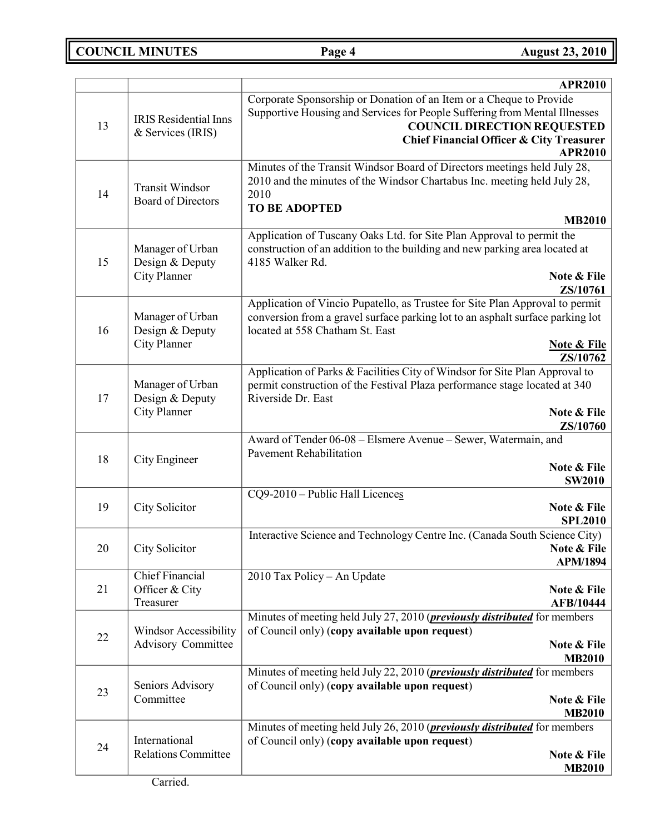**COUNCIL MINUTES Page 4 August 23, 2010**

|    |                                          | <b>APR2010</b>                                                                                                    |
|----|------------------------------------------|-------------------------------------------------------------------------------------------------------------------|
|    |                                          | Corporate Sponsorship or Donation of an Item or a Cheque to Provide                                               |
|    | <b>IRIS</b> Residential Inns             | Supportive Housing and Services for People Suffering from Mental Illnesses                                        |
| 13 | & Services (IRIS)                        | <b>COUNCIL DIRECTION REQUESTED</b><br><b>Chief Financial Officer &amp; City Treasurer</b>                         |
|    |                                          | <b>APR2010</b>                                                                                                    |
|    |                                          | Minutes of the Transit Windsor Board of Directors meetings held July 28,                                          |
| 14 | <b>Transit Windsor</b>                   | 2010 and the minutes of the Windsor Chartabus Inc. meeting held July 28,<br>2010                                  |
|    | <b>Board of Directors</b>                | <b>TO BE ADOPTED</b>                                                                                              |
|    |                                          | <b>MB2010</b>                                                                                                     |
|    |                                          | Application of Tuscany Oaks Ltd. for Site Plan Approval to permit the                                             |
| 15 | Manager of Urban<br>Design & Deputy      | construction of an addition to the building and new parking area located at<br>4185 Walker Rd.                    |
|    | <b>City Planner</b>                      | Note & File                                                                                                       |
|    |                                          | ZS/10761                                                                                                          |
|    |                                          | Application of Vincio Pupatello, as Trustee for Site Plan Approval to permit                                      |
| 16 | Manager of Urban<br>Design & Deputy      | conversion from a gravel surface parking lot to an asphalt surface parking lot<br>located at 558 Chatham St. East |
|    | <b>City Planner</b>                      | <b>Note &amp; File</b>                                                                                            |
|    |                                          | ZS/10762                                                                                                          |
|    |                                          | Application of Parks & Facilities City of Windsor for Site Plan Approval to                                       |
| 17 | Manager of Urban<br>Design & Deputy      | permit construction of the Festival Plaza performance stage located at 340<br>Riverside Dr. East                  |
|    | <b>City Planner</b>                      | Note & File                                                                                                       |
|    |                                          | ZS/10760                                                                                                          |
|    |                                          | Award of Tender 06-08 - Elsmere Avenue - Sewer, Watermain, and                                                    |
| 18 | City Engineer                            | <b>Pavement Rehabilitation</b><br>Note & File                                                                     |
|    |                                          | <b>SW2010</b>                                                                                                     |
|    |                                          | CQ9-2010 - Public Hall Licences                                                                                   |
| 19 | City Solicitor                           | Note & File<br><b>SPL2010</b>                                                                                     |
|    |                                          | Interactive Science and Technology Centre Inc. (Canada South Science City)                                        |
| 20 | City Solicitor                           | Note & File                                                                                                       |
|    |                                          | <b>APM/1894</b>                                                                                                   |
| 21 | <b>Chief Financial</b><br>Officer & City | 2010 Tax Policy - An Update<br>Note & File                                                                        |
|    | Treasurer                                | <b>AFB/10444</b>                                                                                                  |
|    |                                          | Minutes of meeting held July 27, 2010 ( <i>previously distributed</i> for members                                 |
| 22 | <b>Windsor Accessibility</b>             | of Council only) (copy available upon request)                                                                    |
|    | <b>Advisory Committee</b>                | Note & File<br><b>MB2010</b>                                                                                      |
|    |                                          | Minutes of meeting held July 22, 2010 ( <i>previously distributed</i> for members                                 |
| 23 | Seniors Advisory                         | of Council only) (copy available upon request)                                                                    |
|    | Committee                                | Note & File                                                                                                       |
|    |                                          | <b>MB2010</b><br>Minutes of meeting held July 26, 2010 ( <i>previously distributed</i> for members                |
| 24 | International                            | of Council only) (copy available upon request)                                                                    |
|    | <b>Relations Committee</b>               | Note & File                                                                                                       |
|    |                                          | <b>MB2010</b>                                                                                                     |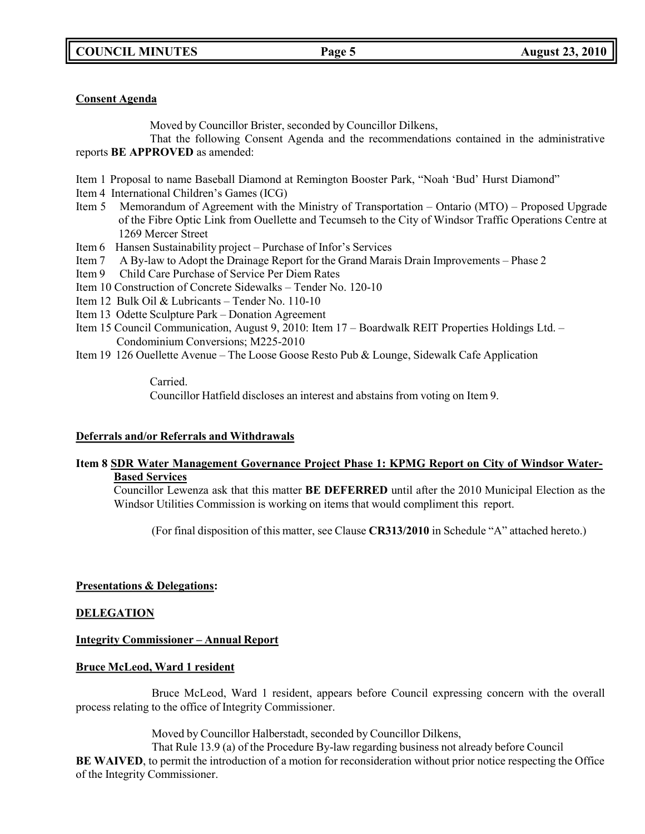### **Consent Agenda**

Moved by Councillor Brister, seconded by Councillor Dilkens,

That the following Consent Agenda and the recommendations contained in the administrative reports **BE APPROVED** as amended:

Item 1 Proposal to name Baseball Diamond at Remington Booster Park, "Noah 'Bud' Hurst Diamond"

Item 4 International Children's Games (ICG)

- Item 5 Memorandum of Agreement with the Ministry of Transportation Ontario (MTO) Proposed Upgrade of the Fibre Optic Link from Ouellette and Tecumseh to the City of Windsor Traffic Operations Centre at 1269 Mercer Street
- Item 6 Hansen Sustainability project Purchase of Infor's Services
- Item 7 A By-law to Adopt the Drainage Report for the Grand Marais Drain Improvements Phase 2
- Item 9 Child Care Purchase of Service Per Diem Rates
- Item 10 Construction of Concrete Sidewalks Tender No. 120-10
- Item 12 Bulk Oil & Lubricants Tender No. 110-10
- Item 13 Odette Sculpture Park Donation Agreement
- Item 15 Council Communication, August 9, 2010: Item 17 Boardwalk REIT Properties Holdings Ltd. Condominium Conversions; M225-2010
- Item 19 126 Ouellette Avenue The Loose Goose Resto Pub & Lounge, Sidewalk Cafe Application

Carried. Councillor Hatfield discloses an interest and abstains from voting on Item 9.

### **Deferrals and/or Referrals and Withdrawals**

### **Item 8 SDR Water Management Governance Project Phase 1: KPMG Report on City of Windsor Water-Based Services**

Councillor Lewenza ask that this matter **BE DEFERRED** until after the 2010 Municipal Election as the Windsor Utilities Commission is working on items that would compliment this report.

(For final disposition of this matter, see Clause **CR313/2010** in Schedule "A" attached hereto.)

### **Presentations & Delegations:**

### **DELEGATION**

### **Integrity Commissioner – Annual Report**

### **Bruce McLeod, Ward 1 resident**

Bruce McLeod, Ward 1 resident, appears before Council expressing concern with the overall process relating to the office of Integrity Commissioner.

Moved by Councillor Halberstadt, seconded by Councillor Dilkens,

That Rule 13.9 (a) of the Procedure By-law regarding business not already before Council **BE WAIVED**, to permit the introduction of a motion for reconsideration without prior notice respecting the Office of the Integrity Commissioner.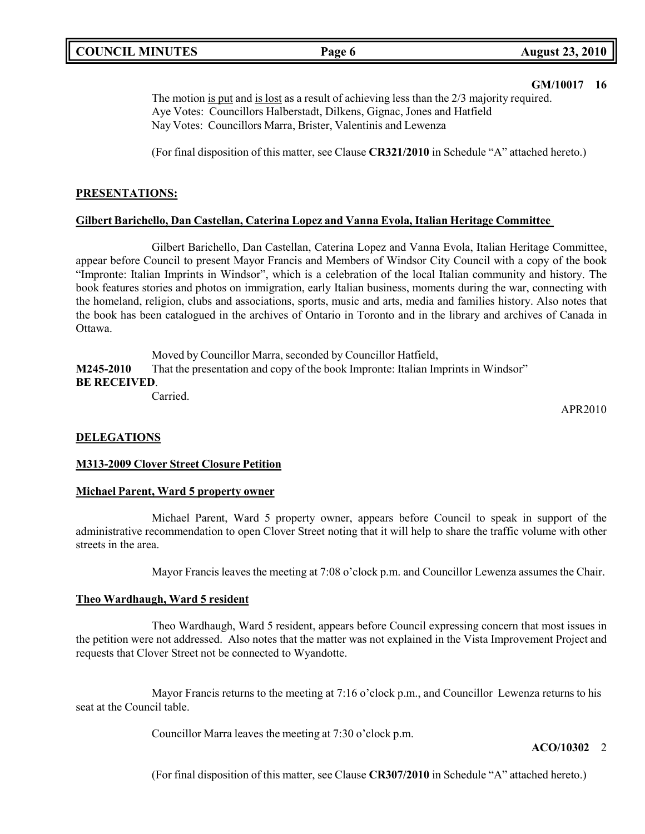### **GM/10017 16**

The motion is put and is lost as a result of achieving less than the 2/3 majority required. Aye Votes: Councillors Halberstadt, Dilkens, Gignac, Jones and Hatfield Nay Votes: Councillors Marra, Brister, Valentinis and Lewenza

(For final disposition of this matter, see Clause **CR321/2010** in Schedule "A" attached hereto.)

### **PRESENTATIONS:**

### **Gilbert Barichello, Dan Castellan, Caterina Lopez and Vanna Evola, Italian Heritage Committee**

Gilbert Barichello, Dan Castellan, Caterina Lopez and Vanna Evola, Italian Heritage Committee, appear before Council to present Mayor Francis and Members of Windsor City Council with a copy of the book "Impronte: Italian Imprints in Windsor", which is a celebration of the local Italian community and history. The book features stories and photos on immigration, early Italian business, moments during the war, connecting with the homeland, religion, clubs and associations, sports, music and arts, media and families history. Also notes that the book has been catalogued in the archives of Ontario in Toronto and in the library and archives of Canada in Ottawa.

Moved by Councillor Marra, seconded by Councillor Hatfield, **M245-2010** That the presentation and copy of the book Impronte: Italian Imprints in Windsor" **BE RECEIVED**. Carried.

APR2010

### **DELEGATIONS**

### **M313-2009 Clover Street Closure Petition**

### **Michael Parent, Ward 5 property owner**

Michael Parent, Ward 5 property owner, appears before Council to speak in support of the administrative recommendation to open Clover Street noting that it will help to share the traffic volume with other streets in the area.

Mayor Francis leaves the meeting at 7:08 o'clock p.m. and Councillor Lewenza assumes the Chair.

### **Theo Wardhaugh, Ward 5 resident**

Theo Wardhaugh, Ward 5 resident, appears before Council expressing concern that most issues in the petition were not addressed. Also notes that the matter was not explained in the Vista Improvement Project and requests that Clover Street not be connected to Wyandotte.

Mayor Francis returns to the meeting at 7:16 o'clock p.m., and Councillor Lewenza returns to his seat at the Council table.

Councillor Marra leaves the meeting at 7:30 o'clock p.m.

### **ACO/10302** 2

(For final disposition of this matter, see Clause **CR307/2010** in Schedule "A" attached hereto.)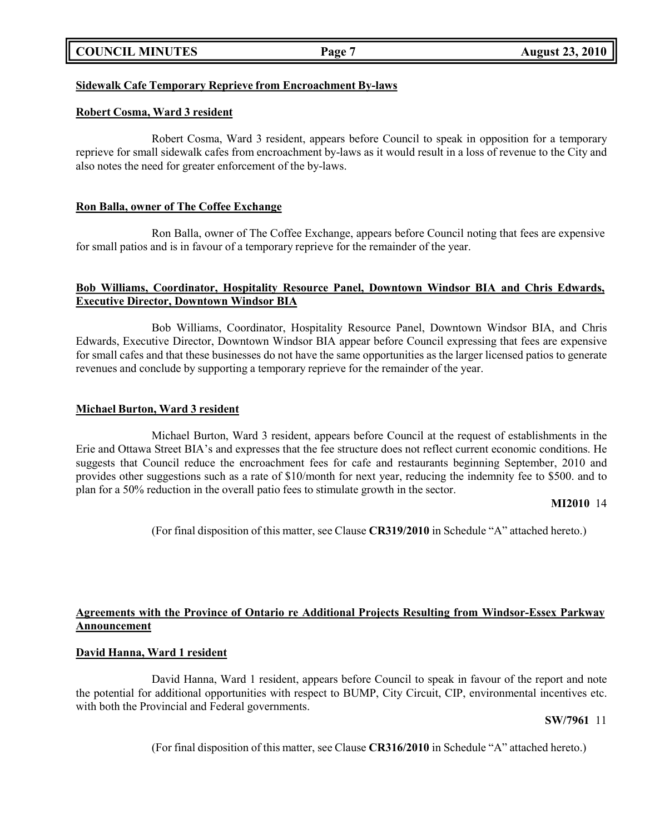| <b>COUNCIL MINUTES</b> |  |
|------------------------|--|
|------------------------|--|

### **Sidewalk Cafe Temporary Reprieve from Encroachment By-laws**

### **Robert Cosma, Ward 3 resident**

Robert Cosma, Ward 3 resident, appears before Council to speak in opposition for a temporary reprieve for small sidewalk cafes from encroachment by-laws as it would result in a loss of revenue to the City and also notes the need for greater enforcement of the by-laws.

### **Ron Balla, owner of The Coffee Exchange**

Ron Balla, owner of The Coffee Exchange, appears before Council noting that fees are expensive for small patios and is in favour of a temporary reprieve for the remainder of the year.

### **Bob Williams, Coordinator, Hospitality Resource Panel, Downtown Windsor BIA and Chris Edwards, Executive Director, Downtown Windsor BIA**

Bob Williams, Coordinator, Hospitality Resource Panel, Downtown Windsor BIA, and Chris Edwards, Executive Director, Downtown Windsor BIA appear before Council expressing that fees are expensive for small cafes and that these businesses do not have the same opportunities as the larger licensed patios to generate revenues and conclude by supporting a temporary reprieve for the remainder of the year.

### **Michael Burton, Ward 3 resident**

Michael Burton, Ward 3 resident, appears before Council at the request of establishments in the Erie and Ottawa Street BIA's and expresses that the fee structure does not reflect current economic conditions. He suggests that Council reduce the encroachment fees for cafe and restaurants beginning September, 2010 and provides other suggestions such as a rate of \$10/month for next year, reducing the indemnity fee to \$500. and to plan for a 50% reduction in the overall patio fees to stimulate growth in the sector.

### **MI2010** 14

(For final disposition of this matter, see Clause **CR319/2010** in Schedule "A" attached hereto.)

### **Agreements with the Province of Ontario re Additional Projects Resulting from Windsor-Essex Parkway Announcement**

### **David Hanna, Ward 1 resident**

David Hanna, Ward 1 resident, appears before Council to speak in favour of the report and note the potential for additional opportunities with respect to BUMP, City Circuit, CIP, environmental incentives etc. with both the Provincial and Federal governments.

### **SW/7961** 11

(For final disposition of this matter, see Clause **CR316/2010** in Schedule "A" attached hereto.)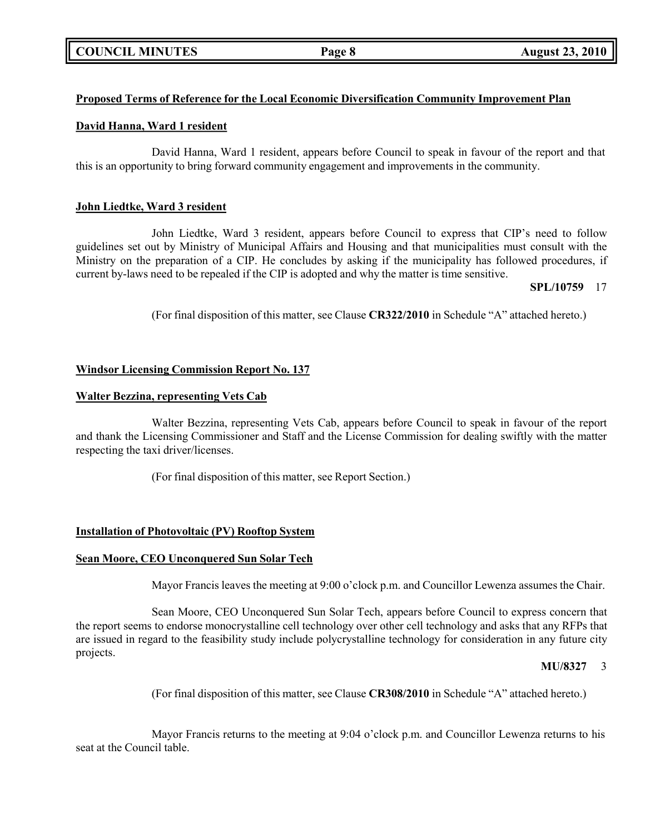### **Proposed Terms of Reference for the Local Economic Diversification Community Improvement Plan**

### **David Hanna, Ward 1 resident**

David Hanna, Ward 1 resident, appears before Council to speak in favour of the report and that this is an opportunity to bring forward community engagement and improvements in the community.

### **John Liedtke, Ward 3 resident**

John Liedtke, Ward 3 resident, appears before Council to express that CIP's need to follow guidelines set out by Ministry of Municipal Affairs and Housing and that municipalities must consult with the Ministry on the preparation of a CIP. He concludes by asking if the municipality has followed procedures, if current by-laws need to be repealed if the CIP is adopted and why the matter is time sensitive.

**SPL/10759** 17

(For final disposition of this matter, see Clause **CR322/2010** in Schedule "A" attached hereto.)

### **Windsor Licensing Commission Report No. 137**

### **Walter Bezzina, representing Vets Cab**

Walter Bezzina, representing Vets Cab, appears before Council to speak in favour of the report and thank the Licensing Commissioner and Staff and the License Commission for dealing swiftly with the matter respecting the taxi driver/licenses.

(For final disposition of this matter, see Report Section.)

### **Installation of Photovoltaic (PV) Rooftop System**

### **Sean Moore, CEO Unconquered Sun Solar Tech**

Mayor Francis leaves the meeting at 9:00 o'clock p.m. and Councillor Lewenza assumes the Chair.

Sean Moore, CEO Unconquered Sun Solar Tech, appears before Council to express concern that the report seems to endorse monocrystalline cell technology over other cell technology and asks that any RFPs that are issued in regard to the feasibility study include polycrystalline technology for consideration in any future city projects.

### **MU/8327** 3

(For final disposition of this matter, see Clause **CR308/2010** in Schedule "A" attached hereto.)

Mayor Francis returns to the meeting at 9:04 o'clock p.m. and Councillor Lewenza returns to his seat at the Council table.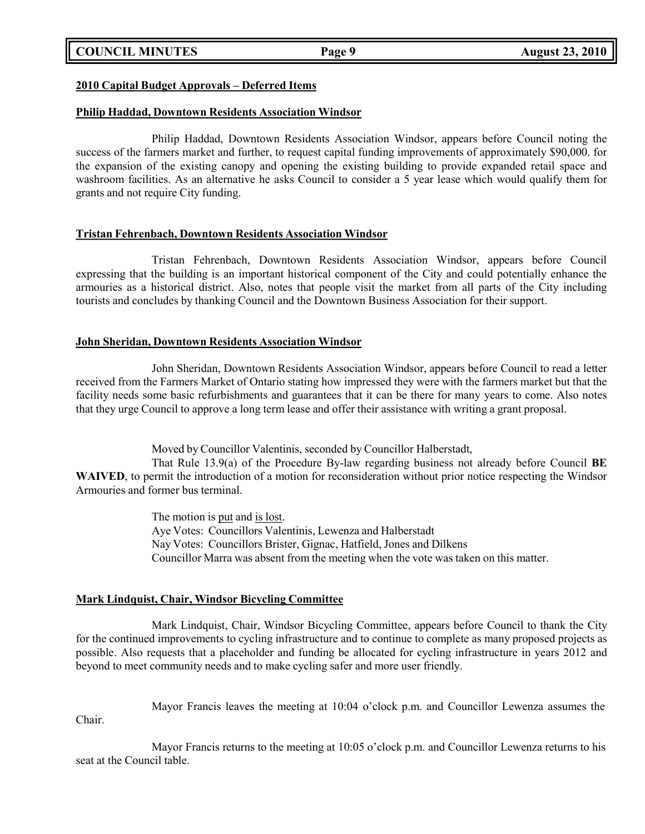### **2010 Capital Budget Approvals – Deferred Items**

### **Philip Haddad, Downtown Residents Association Windsor**

Philip Haddad, Downtown Residents Association Windsor, appears before Council noting the success of the farmers market and further, to request capital funding improvements of approximately \$90,000. for the expansion of the existing canopy and opening the existing building to provide expanded retail space and washroom facilities. As an alternative he asks Council to consider a 5 year lease which would qualify them for grants and not require City funding.

### **Tristan Fehrenbach, Downtown Residents Association Windsor**

Tristan Fehrenbach, Downtown Residents Association Windsor, appears before Council expressing that the building is an important historical component of the City and could potentially enhance the armouries as a historical district. Also, notes that people visit the market from all parts of the City including tourists and concludes by thanking Council and the Downtown Business Association for their support.

### **John Sheridan, Downtown Residents Association Windsor**

John Sheridan, Downtown Residents Association Windsor, appears before Council to read a letter received from the Farmers Market of Ontario stating how impressed they were with the farmers market but that the facility needs some basic refurbishments and guarantees that it can be there for many years to come. Also notes that they urge Council to approve a long term lease and offer their assistance with writing a grant proposal.

Moved by Councillor Valentinis, seconded by Councillor Halberstadt,

That Rule 13.9(a) of the Procedure By-law regarding business not already before Council **BE WAIVED**, to permit the introduction of a motion for reconsideration without prior notice respecting the Windsor Armouries and former bus terminal.

> The motion is put and is lost. Aye Votes: Councillors Valentinis, Lewenza and Halberstadt Nay Votes: Councillors Brister, Gignac, Hatfield, Jones and Dilkens Councillor Marra was absent from the meeting when the vote was taken on this matter.

### **Mark Lindquist, Chair, Windsor Bicycling Committee**

Mark Lindquist, Chair, Windsor Bicycling Committee, appears before Council to thank the City for the continued improvements to cycling infrastructure and to continue to complete as many proposed projects as possible. Also requests that a placeholder and funding be allocated for cycling infrastructure in years 2012 and beyond to meet community needs and to make cycling safer and more user friendly.

Chair.

Mayor Francis leaves the meeting at 10:04 o'clock p.m. and Councillor Lewenza assumes the

Mayor Francis returns to the meeting at 10:05 o'clock p.m. and Councillor Lewenza returns to his seat at the Council table.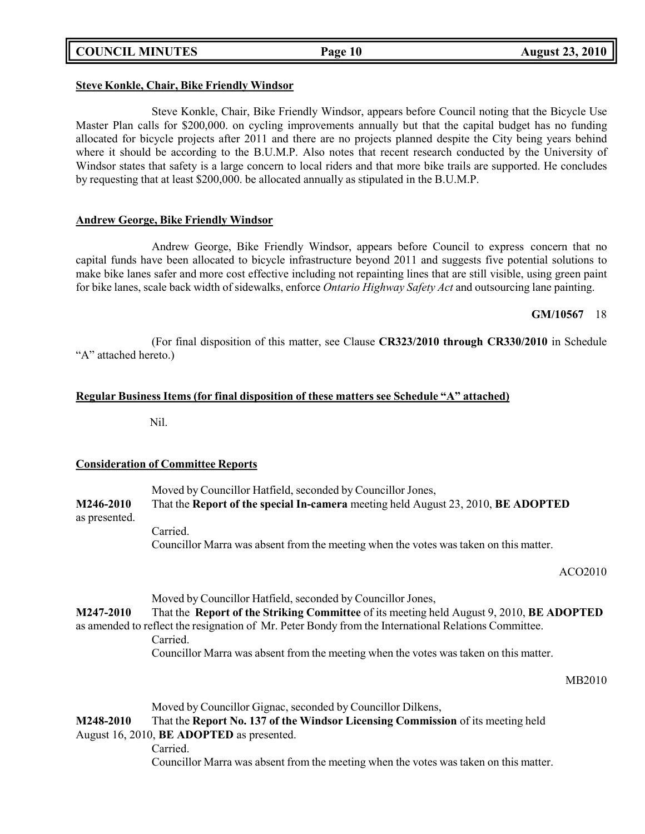### **COUNCIL MINUTES Page 10 August 23, 2010**

### **Steve Konkle, Chair, Bike Friendly Windsor**

Steve Konkle, Chair, Bike Friendly Windsor, appears before Council noting that the Bicycle Use Master Plan calls for \$200,000. on cycling improvements annually but that the capital budget has no funding allocated for bicycle projects after 2011 and there are no projects planned despite the City being years behind where it should be according to the B.U.M.P. Also notes that recent research conducted by the University of Windsor states that safety is a large concern to local riders and that more bike trails are supported. He concludes

### **Andrew George, Bike Friendly Windsor**

Andrew George, Bike Friendly Windsor, appears before Council to express concern that no capital funds have been allocated to bicycle infrastructure beyond 2011 and suggests five potential solutions to make bike lanes safer and more cost effective including not repainting lines that are still visible, using green paint for bike lanes, scale back width of sidewalks, enforce *Ontario Highway Safety Act* and outsourcing lane painting.

### **GM/10567** 18

(For final disposition of this matter, see Clause **CR323/2010 through CR330/2010** in Schedule "A" attached hereto.)

### **Regular Business Items (for final disposition of these matters see Schedule "A" attached)**

by requesting that at least \$200,000. be allocated annually as stipulated in the B.U.M.P.

Nil.

### **Consideration of Committee Reports**

Moved by Councillor Hatfield, seconded by Councillor Jones, **M246-2010** That the **Report of the special In-camera** meeting held August 23, 2010, **BE ADOPTED** as presented. Carried.

Councillor Marra was absent from the meeting when the votes was taken on this matter.

ACO2010

Moved by Councillor Hatfield, seconded by Councillor Jones, **M247-2010** That the **Report of the Striking Committee** of its meeting held August 9, 2010, **BE ADOPTED** as amended to reflect the resignation of Mr. Peter Bondy from the International Relations Committee. Carried. Councillor Marra was absent from the meeting when the votes was taken on this matter.

MB2010

Moved by Councillor Gignac, seconded by Councillor Dilkens, **M248-2010** That the **Report No. 137 of the Windsor Licensing Commission** of its meeting held August 16, 2010, **BE ADOPTED** as presented. Carried. Councillor Marra was absent from the meeting when the votes was taken on this matter.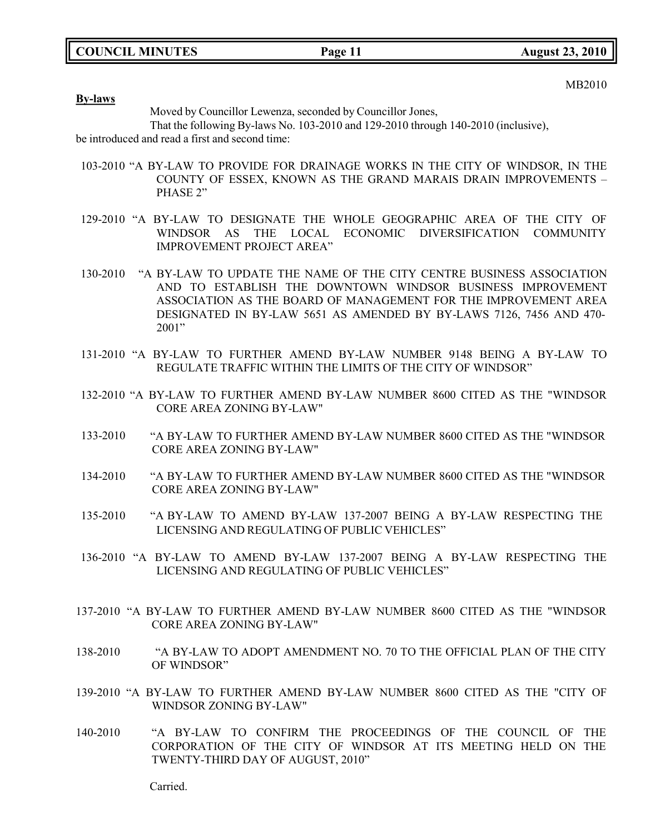MB2010

**By-laws**

Moved by Councillor Lewenza, seconded by Councillor Jones,

That the following By-laws No. 103-2010 and 129-2010 through 140-2010 (inclusive), be introduced and read a first and second time:

- 103-2010 "A BY-LAW TO PROVIDE FOR DRAINAGE WORKS IN THE CITY OF WINDSOR, IN THE COUNTY OF ESSEX, KNOWN AS THE GRAND MARAIS DRAIN IMPROVEMENTS – PHASE 2"
- 129-2010 "A BY-LAW TO DESIGNATE THE WHOLE GEOGRAPHIC AREA OF THE CITY OF WINDSOR AS THE LOCAL ECONOMIC DIVERSIFICATION COMMUNITY IMPROVEMENT PROJECT AREA"
- 130-2010 "A BY-LAW TO UPDATE THE NAME OF THE CITY CENTRE BUSINESS ASSOCIATION AND TO ESTABLISH THE DOWNTOWN WINDSOR BUSINESS IMPROVEMENT ASSOCIATION AS THE BOARD OF MANAGEMENT FOR THE IMPROVEMENT AREA DESIGNATED IN BY-LAW 5651 AS AMENDED BY BY-LAWS 7126, 7456 AND 470- 2001"
- 131-2010 "A BY-LAW TO FURTHER AMEND BY-LAW NUMBER 9148 BEING A BY-LAW TO REGULATE TRAFFIC WITHIN THE LIMITS OF THE CITY OF WINDSOR"
- 132-2010 "A BY-LAW TO FURTHER AMEND BY-LAW NUMBER 8600 CITED AS THE "WINDSOR CORE AREA ZONING BY-LAW"
- 133-2010 "A BY-LAW TO FURTHER AMEND BY-LAW NUMBER 8600 CITED AS THE "WINDSOR CORE AREA ZONING BY-LAW"
- 134-2010 "A BY-LAW TO FURTHER AMEND BY-LAW NUMBER 8600 CITED AS THE "WINDSOR CORE AREA ZONING BY-LAW"
- 135-2010 "A BY-LAW TO AMEND BY-LAW 137-2007 BEING A BY-LAW RESPECTING THE LICENSING AND REGULATING OF PUBLIC VEHICLES"
- 136-2010 "A BY-LAW TO AMEND BY-LAW 137-2007 BEING A BY-LAW RESPECTING THE LICENSING AND REGULATING OF PUBLIC VEHICLES"
- 137-2010 "A BY-LAW TO FURTHER AMEND BY-LAW NUMBER 8600 CITED AS THE "WINDSOR CORE AREA ZONING BY-LAW"
- 138-2010 "A BY-LAW TO ADOPT AMENDMENT NO. 70 TO THE OFFICIAL PLAN OF THE CITY OF WINDSOR"
- 139-2010 "A BY-LAW TO FURTHER AMEND BY-LAW NUMBER 8600 CITED AS THE "CITY OF WINDSOR ZONING BY-LAW"
- 140-2010 "A BY-LAW TO CONFIRM THE PROCEEDINGS OF THE COUNCIL OF THE CORPORATION OF THE CITY OF WINDSOR AT ITS MEETING HELD ON THE TWENTY-THIRD DAY OF AUGUST, 2010"

Carried.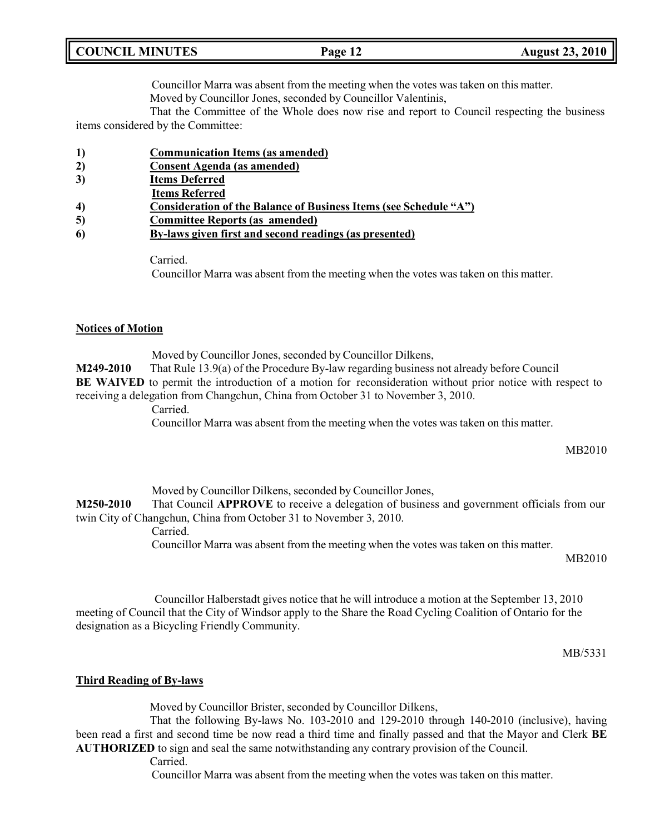|  | <b>COUNCIL MINUTES</b> |
|--|------------------------|
|--|------------------------|

Councillor Marra was absent from the meeting when the votes was taken on this matter.

Moved by Councillor Jones, seconded by Councillor Valentinis,

That the Committee of the Whole does now rise and report to Council respecting the business items considered by the Committee:

- **1) Communication Items (as amended)**
- **2) Consent Agenda (as amended)**
- **3) Items Deferred**
- **Items Referred**
- **4) Consideration of the Balance of Business Items (see Schedule "A")**
- **5) Committee Reports (as amended)**
- **6) By-laws given first and second readings (as presented)**

Carried.

Councillor Marra was absent from the meeting when the votes was taken on this matter.

### **Notices of Motion**

Moved by Councillor Jones, seconded by Councillor Dilkens, **M249-2010** That Rule 13.9(a) of the Procedure By-law regarding business not already before Council **BE WAIVED** to permit the introduction of a motion for reconsideration without prior notice with respect to receiving a delegation from Changchun, China from October 31 to November 3, 2010.

Carried.

Councillor Marra was absent from the meeting when the votes was taken on this matter.

MB2010

Moved by Councillor Dilkens, seconded by Councillor Jones, **M250-2010** That Council **APPROVE** to receive a delegation of business and government officials from our twin City of Changchun, China from October 31 to November 3, 2010. Carried. Councillor Marra was absent from the meeting when the votes was taken on this matter.

MB2010

Councillor Halberstadt gives notice that he will introduce a motion at the September 13, 2010 meeting of Council that the City of Windsor apply to the Share the Road Cycling Coalition of Ontario for the designation as a Bicycling Friendly Community.

MB/5331

### **Third Reading of By-laws**

Moved by Councillor Brister, seconded by Councillor Dilkens,

That the following By-laws No. 103-2010 and 129-2010 through 140-2010 (inclusive), having been read a first and second time be now read a third time and finally passed and that the Mayor and Clerk **BE AUTHORIZED** to sign and seal the same notwithstanding any contrary provision of the Council.

Carried.

Councillor Marra was absent from the meeting when the votes was taken on this matter.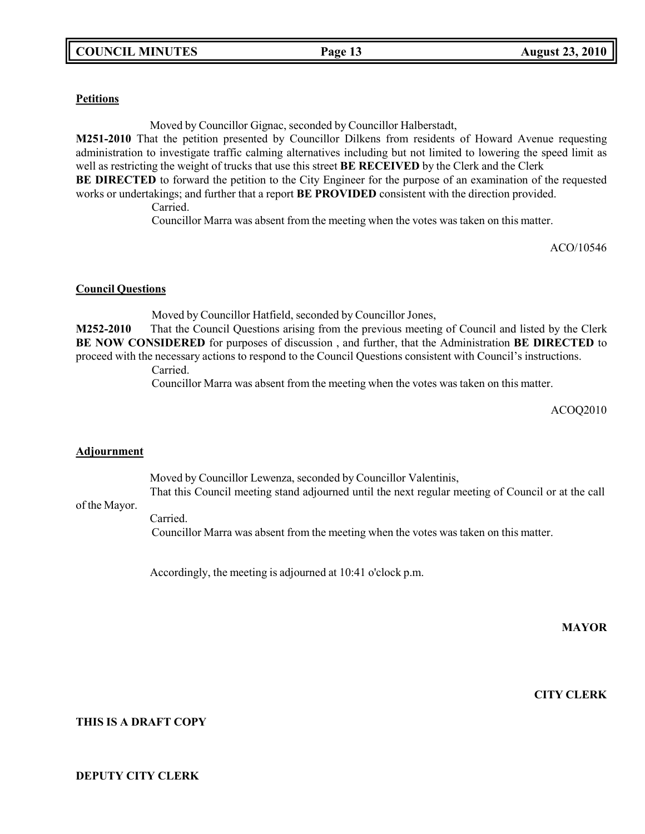### **Petitions**

Moved by Councillor Gignac, seconded by Councillor Halberstadt,

**M251-2010** That the petition presented by Councillor Dilkens from residents of Howard Avenue requesting administration to investigate traffic calming alternatives including but not limited to lowering the speed limit as well as restricting the weight of trucks that use this street **BE RECEIVED** by the Clerk and the Clerk

**BE DIRECTED** to forward the petition to the City Engineer for the purpose of an examination of the requested works or undertakings; and further that a report **BE PROVIDED** consistent with the direction provided.

Carried.

Councillor Marra was absent from the meeting when the votes was taken on this matter.

ACO/10546

### **Council Questions**

Moved by Councillor Hatfield, seconded by Councillor Jones,

**M252-2010** That the Council Questions arising from the previous meeting of Council and listed by the Clerk **BE NOW CONSIDERED** for purposes of discussion , and further, that the Administration **BE DIRECTED** to proceed with the necessary actions to respond to the Council Questions consistent with Council's instructions.

Carried.

Councillor Marra was absent from the meeting when the votes was taken on this matter.

ACOQ2010

### **Adjournment**

Moved by Councillor Lewenza, seconded by Councillor Valentinis, That this Council meeting stand adjourned until the next regular meeting of Council or at the call

### of the Mayor.

Carried.

Councillor Marra was absent from the meeting when the votes was taken on this matter.

Accordingly, the meeting is adjourned at 10:41 o'clock p.m.

**MAYOR**

**CITY CLERK**

### **THIS IS A DRAFT COPY**

### **DEPUTY CITY CLERK**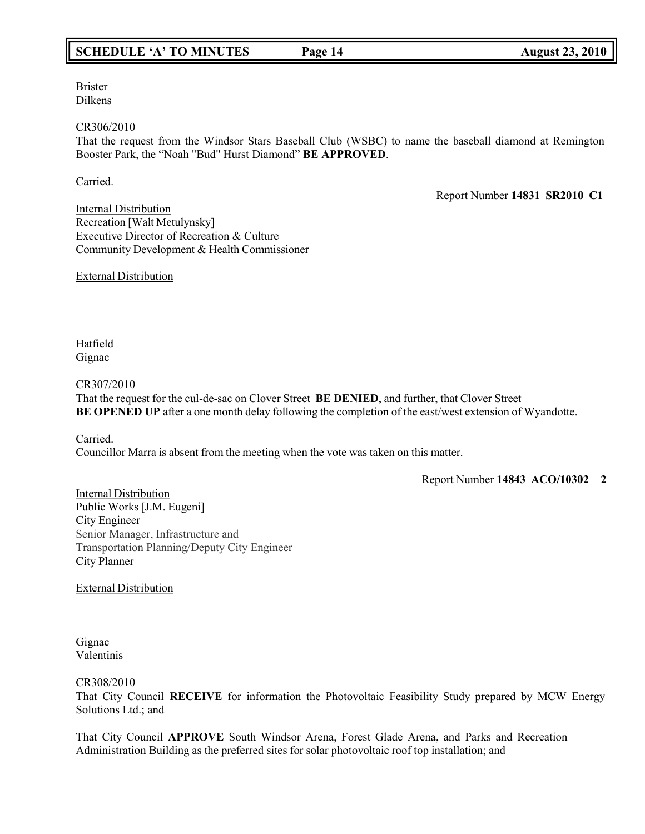### **SCHEDULE 'A' TO MINUTES Page 14 August 23, 2010**

Brister Dilkens

CR306/2010

That the request from the Windsor Stars Baseball Club (WSBC) to name the baseball diamond at Remington Booster Park, the "Noah "Bud" Hurst Diamond" **BE APPROVED**.

Carried.

Report Number **14831 SR2010 C1**

Internal Distribution Recreation [Walt Metulynsky] Executive Director of Recreation & Culture Community Development & Health Commissioner

External Distribution

Hatfield Gignac

CR307/2010

That the request for the cul-de-sac on Clover Street **BE DENIED**, and further, that Clover Street **BE OPENED UP** after a one month delay following the completion of the east/west extension of Wyandotte.

Carried. Councillor Marra is absent from the meeting when the vote was taken on this matter.

Report Number **14843 ACO/10302 2**

Internal Distribution Public Works [J.M. Eugeni] City Engineer Senior Manager, Infrastructure and Transportation Planning/Deputy City Engineer City Planner

External Distribution

Gignac Valentinis

CR308/2010

That City Council **RECEIVE** for information the Photovoltaic Feasibility Study prepared by MCW Energy Solutions Ltd.; and

That City Council **APPROVE** South Windsor Arena, Forest Glade Arena, and Parks and Recreation Administration Building as the preferred sites for solar photovoltaic roof top installation; and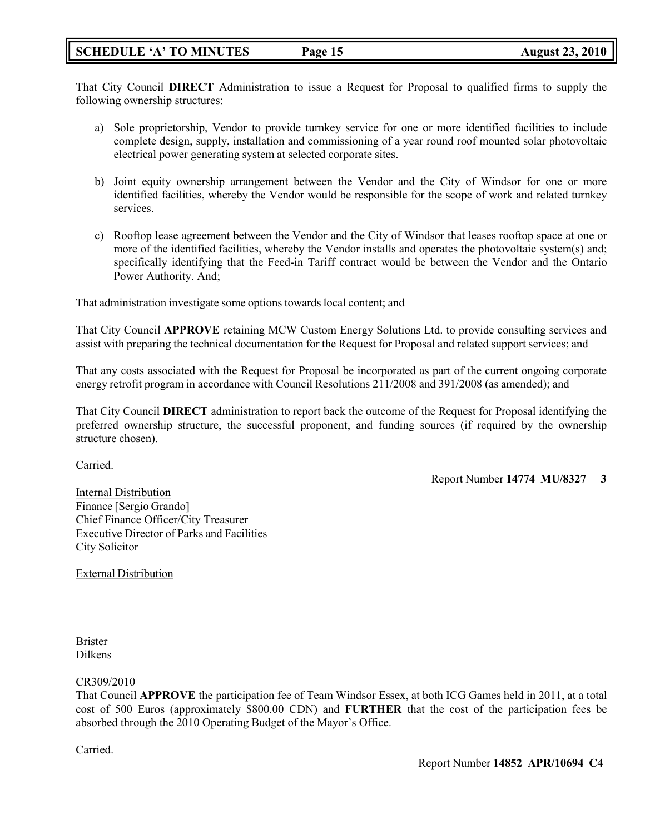### **SCHEDULE 'A' TO MINUTES Page 15 August 23, 2010**

That City Council **DIRECT** Administration to issue a Request for Proposal to qualified firms to supply the following ownership structures:

- a) Sole proprietorship, Vendor to provide turnkey service for one or more identified facilities to include complete design, supply, installation and commissioning of a year round roof mounted solar photovoltaic electrical power generating system at selected corporate sites.
- b) Joint equity ownership arrangement between the Vendor and the City of Windsor for one or more identified facilities, whereby the Vendor would be responsible for the scope of work and related turnkey services.
- c) Rooftop lease agreement between the Vendor and the City of Windsor that leases rooftop space at one or more of the identified facilities, whereby the Vendor installs and operates the photovoltaic system(s) and; specifically identifying that the Feed-in Tariff contract would be between the Vendor and the Ontario Power Authority. And;

That administration investigate some options towards local content; and

That City Council **APPROVE** retaining MCW Custom Energy Solutions Ltd. to provide consulting services and assist with preparing the technical documentation for the Request for Proposal and related support services; and

That any costs associated with the Request for Proposal be incorporated as part of the current ongoing corporate energy retrofit program in accordance with Council Resolutions 211/2008 and 391/2008 (as amended); and

That City Council **DIRECT** administration to report back the outcome of the Request for Proposal identifying the preferred ownership structure, the successful proponent, and funding sources (if required by the ownership structure chosen).

Carried.

Report Number **14774 MU/8327 3**

Internal Distribution Finance [Sergio Grando] Chief Finance Officer/City Treasurer Executive Director of Parks and Facilities City Solicitor

External Distribution

Brister Dilkens

CR309/2010

That Council **APPROVE** the participation fee of Team Windsor Essex, at both ICG Games held in 2011, at a total cost of 500 Euros (approximately \$800.00 CDN) and **FURTHER** that the cost of the participation fees be absorbed through the 2010 Operating Budget of the Mayor's Office.

Carried.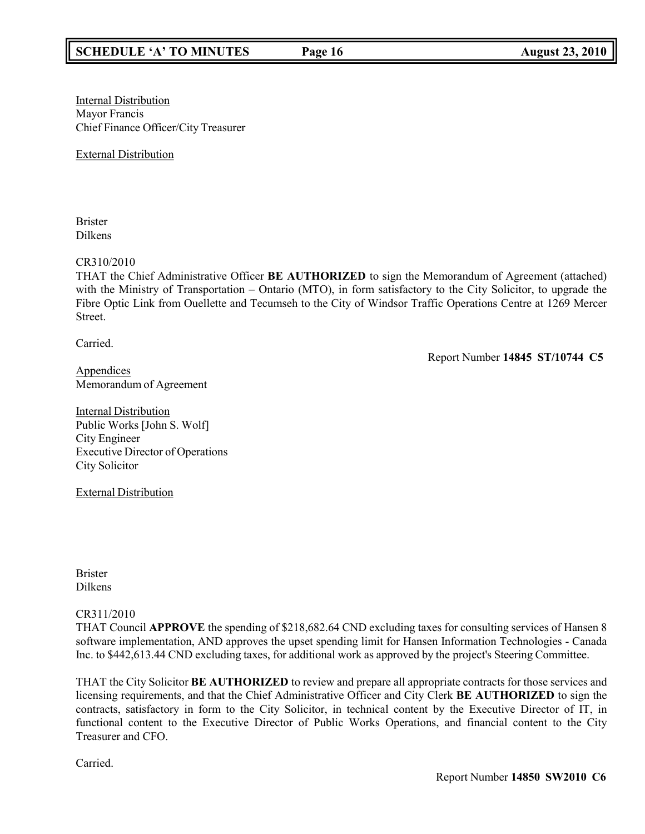**Internal Distribution** Mayor Francis Chief Finance Officer/City Treasurer

External Distribution

Brister Dilkens

CR310/2010

THAT the Chief Administrative Officer **BE AUTHORIZED** to sign the Memorandum of Agreement (attached) with the Ministry of Transportation – Ontario (MTO), in form satisfactory to the City Solicitor, to upgrade the Fibre Optic Link from Ouellette and Tecumseh to the City of Windsor Traffic Operations Centre at 1269 Mercer Street.

Carried.

Report Number **14845 ST/10744 C5**

Appendices Memorandum of Agreement

**Internal Distribution** Public Works [John S. Wolf] City Engineer Executive Director of Operations City Solicitor

External Distribution

Brister Dilkens

### CR311/2010

THAT Council **APPROVE** the spending of \$218,682.64 CND excluding taxes for consulting services of Hansen 8 software implementation, AND approves the upset spending limit for Hansen Information Technologies - Canada Inc. to \$442,613.44 CND excluding taxes, for additional work as approved by the project's Steering Committee.

THAT the City Solicitor **BE AUTHORIZED** to review and prepare all appropriate contracts for those services and licensing requirements, and that the Chief Administrative Officer and City Clerk **BE AUTHORIZED** to sign the contracts, satisfactory in form to the City Solicitor, in technical content by the Executive Director of IT, in functional content to the Executive Director of Public Works Operations, and financial content to the City Treasurer and CFO.

Carried.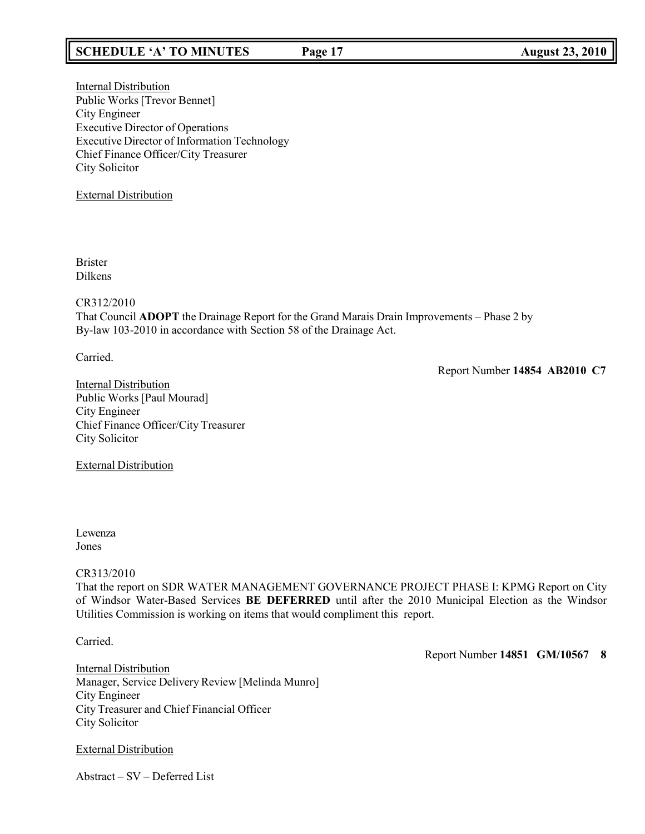### **SCHEDULE 'A' TO MINUTES Page 17 August 23, 2010**

Internal Distribution Public Works [Trevor Bennet] City Engineer Executive Director of Operations Executive Director of Information Technology Chief Finance Officer/City Treasurer City Solicitor

### External Distribution

Brister Dilkens

### CR312/2010

That Council **ADOPT** the Drainage Report for the Grand Marais Drain Improvements – Phase 2 by By-law 103-2010 in accordance with Section 58 of the Drainage Act.

Carried.

Report Number **14854 AB2010 C7**

Internal Distribution Public Works [Paul Mourad] City Engineer Chief Finance Officer/City Treasurer City Solicitor

External Distribution

### Lewenza Jones

### CR313/2010

That the report on SDR WATER MANAGEMENT GOVERNANCE PROJECT PHASE I: KPMG Report on City of Windsor Water-Based Services **BE DEFERRED** until after the 2010 Municipal Election as the Windsor Utilities Commission is working on items that would compliment this report.

Carried.

Report Number **14851 GM/10567 8**

Internal Distribution Manager, Service Delivery Review [Melinda Munro] City Engineer City Treasurer and Chief Financial Officer City Solicitor

External Distribution

Abstract – SV – Deferred List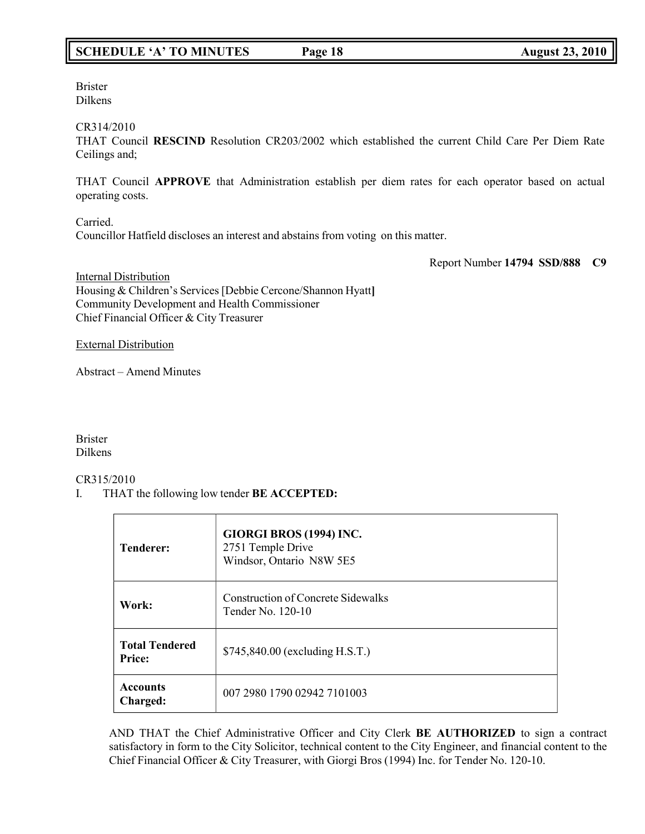### **SCHEDULE 'A' TO MINUTES Page 18 August 23, 2010**

Brister Dilkens

CR314/2010

THAT Council **RESCIND** Resolution CR203/2002 which established the current Child Care Per Diem Rate Ceilings and;

THAT Council **APPROVE** that Administration establish per diem rates for each operator based on actual operating costs.

Carried. Councillor Hatfield discloses an interest and abstains from voting on this matter.

Report Number **14794 SSD/888 C9**

**Internal Distribution** Housing & Children's Services[Debbie Cercone/Shannon Hyatt**]** Community Development and Health Commissioner Chief Financial Officer & City Treasurer

External Distribution

Abstract – Amend Minutes

Brister Dilkens

CR315/2010

I. THAT the following low tender **BE ACCEPTED:**

| <b>Tenderer:</b>                | GIORGI BROS (1994) INC.<br>2751 Temple Drive<br>Windsor, Ontario N8W 5E5 |
|---------------------------------|--------------------------------------------------------------------------|
| Work:                           | <b>Construction of Concrete Sidewalks</b><br>Tender No. 120-10           |
| <b>Total Tendered</b><br>Price: | \$745,840.00 (excluding H.S.T.)                                          |
| <b>Accounts</b><br>Charged:     | 007 2980 1790 02942 7101003                                              |

AND THAT the Chief Administrative Officer and City Clerk **BE AUTHORIZED** to sign a contract satisfactory in form to the City Solicitor, technical content to the City Engineer, and financial content to the Chief Financial Officer & City Treasurer, with Giorgi Bros (1994) Inc. for Tender No. 120-10.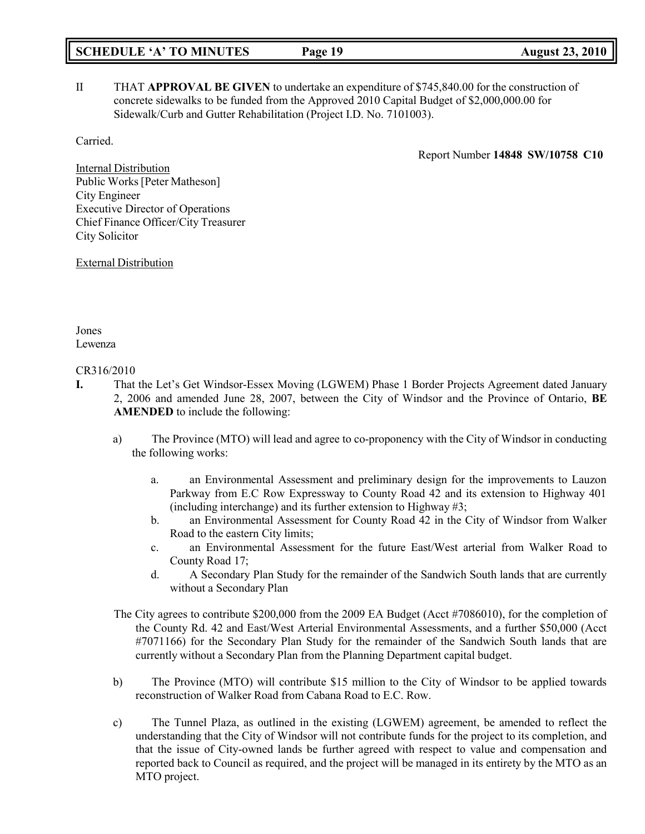# **SCHEDULE 'A' TO MINUTES Page 19 August 23, 2010**

II THAT **APPROVAL BE GIVEN** to undertake an expenditure of \$745,840.00 for the construction of concrete sidewalks to be funded from the Approved 2010 Capital Budget of \$2,000,000.00 for Sidewalk/Curb and Gutter Rehabilitation (Project I.D. No. 7101003).

Carried.

Report Number **14848 SW/10758 C10**

Internal Distribution Public Works[Peter Matheson] City Engineer Executive Director of Operations Chief Finance Officer/City Treasurer City Solicitor

External Distribution

Jones Lewenza

### CR316/2010

- **I.** That the Let's Get Windsor-Essex Moving (LGWEM) Phase 1 Border Projects Agreement dated January 2, 2006 and amended June 28, 2007, between the City of Windsor and the Province of Ontario, **BE AMENDED** to include the following:
	- a) The Province (MTO) will lead and agree to co-proponency with the City of Windsor in conducting the following works:
		- a. an Environmental Assessment and preliminary design for the improvements to Lauzon Parkway from E.C Row Expressway to County Road 42 and its extension to Highway 401 (including interchange) and its further extension to Highway #3;
		- b. an Environmental Assessment for County Road 42 in the City of Windsor from Walker Road to the eastern City limits;
		- c. an Environmental Assessment for the future East/West arterial from Walker Road to County Road 17;
		- d. A Secondary Plan Study for the remainder of the Sandwich South lands that are currently without a Secondary Plan
	- The City agrees to contribute \$200,000 from the 2009 EA Budget (Acct #7086010), for the completion of the County Rd. 42 and East/West Arterial Environmental Assessments, and a further \$50,000 (Acct #7071166) for the Secondary Plan Study for the remainder of the Sandwich South lands that are currently without a Secondary Plan from the Planning Department capital budget.
	- b) The Province (MTO) will contribute \$15 million to the City of Windsor to be applied towards reconstruction of Walker Road from Cabana Road to E.C. Row.
	- c) The Tunnel Plaza, as outlined in the existing (LGWEM) agreement, be amended to reflect the understanding that the City of Windsor will not contribute funds for the project to its completion, and that the issue of City-owned lands be further agreed with respect to value and compensation and reported back to Council as required, and the project will be managed in its entirety by the MTO as an MTO project.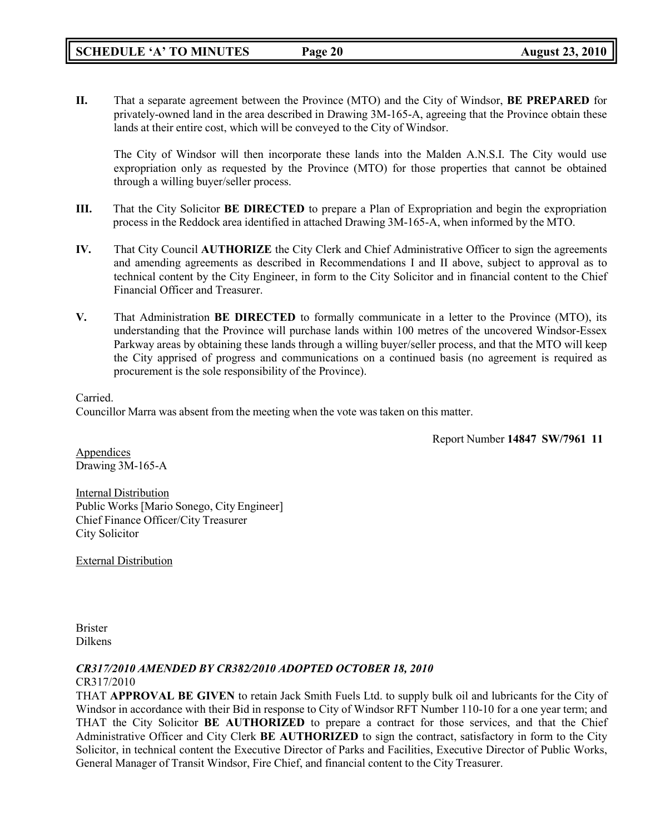**II.** That a separate agreement between the Province (MTO) and the City of Windsor, **BE PREPARED** for privately-owned land in the area described in Drawing 3M-165-A, agreeing that the Province obtain these lands at their entire cost, which will be conveyed to the City of Windsor.

The City of Windsor will then incorporate these lands into the Malden A.N.S.I. The City would use expropriation only as requested by the Province (MTO) for those properties that cannot be obtained through a willing buyer/seller process.

- **III.** That the City Solicitor **BE DIRECTED** to prepare a Plan of Expropriation and begin the expropriation process in the Reddock area identified in attached Drawing 3M-165-A, when informed by the MTO.
- **IV.** That City Council **AUTHORIZE** the City Clerk and Chief Administrative Officer to sign the agreements and amending agreements as described in Recommendations I and II above, subject to approval as to technical content by the City Engineer, in form to the City Solicitor and in financial content to the Chief Financial Officer and Treasurer.
- **V.** That Administration **BE DIRECTED** to formally communicate in a letter to the Province (MTO), its understanding that the Province will purchase lands within 100 metres of the uncovered Windsor-Essex Parkway areas by obtaining these lands through a willing buyer/seller process, and that the MTO will keep the City apprised of progress and communications on a continued basis (no agreement is required as procurement is the sole responsibility of the Province).

### Carried.

Councillor Marra was absent from the meeting when the vote was taken on this matter.

Report Number **14847 SW/7961 11**

Appendices Drawing 3M-165-A

Internal Distribution Public Works [Mario Sonego, City Engineer] Chief Finance Officer/City Treasurer City Solicitor

External Distribution

Brister Dilkens

### *CR317/2010 AMENDED BY CR382/2010 ADOPTED OCTOBER 18, 2010* CR317/2010

THAT **APPROVAL BE GIVEN** to retain Jack Smith Fuels Ltd. to supply bulk oil and lubricants for the City of Windsor in accordance with their Bid in response to City of Windsor RFT Number 110-10 for a one year term; and THAT the City Solicitor **BE AUTHORIZED** to prepare a contract for those services, and that the Chief Administrative Officer and City Clerk **BE AUTHORIZED** to sign the contract, satisfactory in form to the City Solicitor, in technical content the Executive Director of Parks and Facilities, Executive Director of Public Works, General Manager of Transit Windsor, Fire Chief, and financial content to the City Treasurer.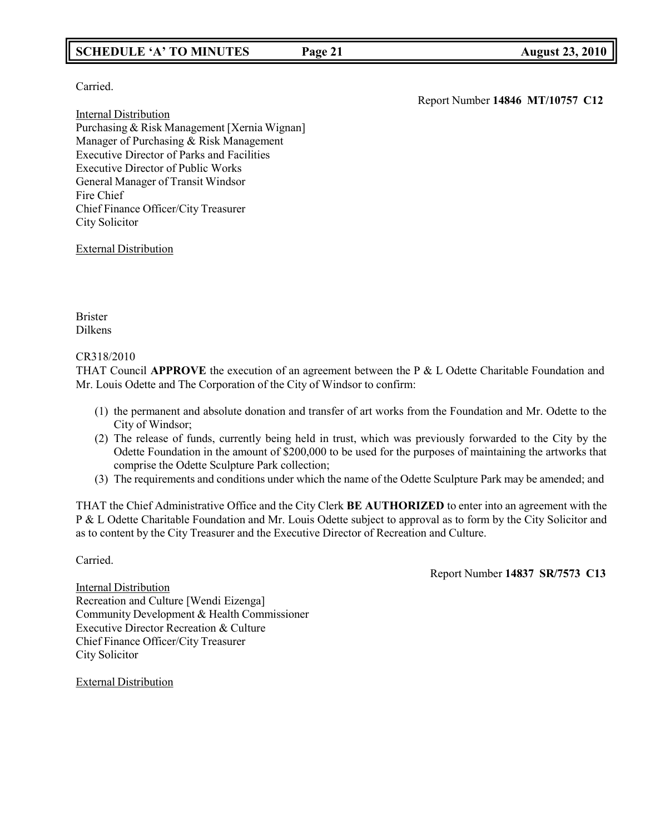### **SCHEDULE 'A' TO MINUTES Page 21 August 23, 2010**

Carried.

Internal Distribution Purchasing & Risk Management [Xernia Wignan] Manager of Purchasing & Risk Management Executive Director of Parks and Facilities Executive Director of Public Works General Manager of Transit Windsor Fire Chief Chief Finance Officer/City Treasurer City Solicitor

External Distribution

Brister Dilkens

### CR318/2010

THAT Council **APPROVE** the execution of an agreement between the P & L Odette Charitable Foundation and Mr. Louis Odette and The Corporation of the City of Windsor to confirm:

- (1) the permanent and absolute donation and transfer of art works from the Foundation and Mr. Odette to the City of Windsor;
- (2) The release of funds, currently being held in trust, which was previously forwarded to the City by the Odette Foundation in the amount of \$200,000 to be used for the purposes of maintaining the artworks that comprise the Odette Sculpture Park collection;
- (3) The requirements and conditions under which the name of the Odette Sculpture Park may be amended; and

THAT the Chief Administrative Office and the City Clerk **BE AUTHORIZED** to enter into an agreement with the P & L Odette Charitable Foundation and Mr. Louis Odette subject to approval as to form by the City Solicitor and as to content by the City Treasurer and the Executive Director of Recreation and Culture.

Carried.

Report Number **14837 SR/7573 C13**

Internal Distribution Recreation and Culture [Wendi Eizenga] Community Development & Health Commissioner Executive Director Recreation & Culture Chief Finance Officer/City Treasurer City Solicitor

External Distribution

Report Number **14846 MT/10757 C12**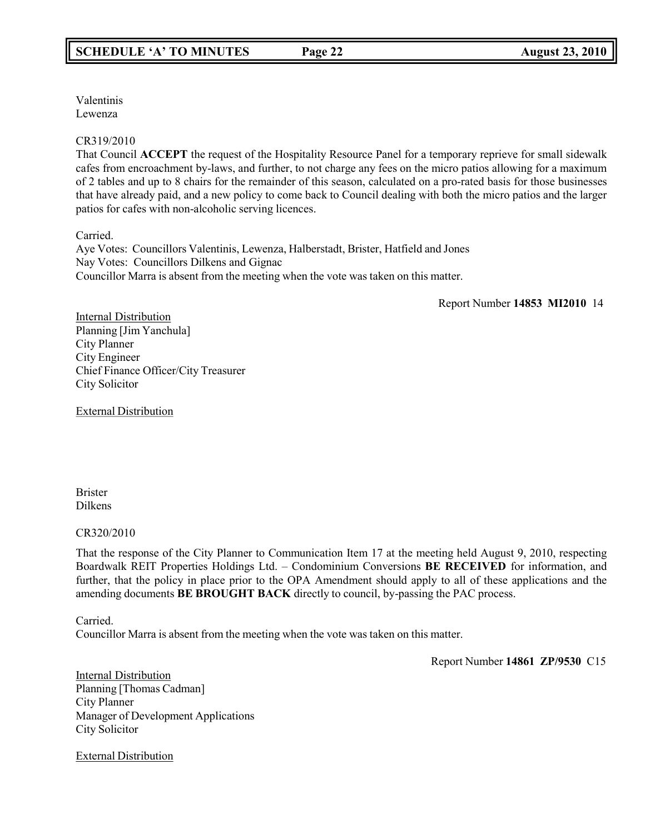Valentinis Lewenza

### CR319/2010

That Council **ACCEPT** the request of the Hospitality Resource Panel for a temporary reprieve for small sidewalk cafes from encroachment by-laws, and further, to not charge any fees on the micro patios allowing for a maximum of 2 tables and up to 8 chairs for the remainder of this season, calculated on a pro-rated basis for those businesses that have already paid, and a new policy to come back to Council dealing with both the micro patios and the larger patios for cafes with non-alcoholic serving licences.

Carried.

Aye Votes: Councillors Valentinis, Lewenza, Halberstadt, Brister, Hatfield and Jones Nay Votes: Councillors Dilkens and Gignac Councillor Marra is absent from the meeting when the vote was taken on this matter.

Report Number **14853 MI2010** 14

Internal Distribution Planning [Jim Yanchula] City Planner City Engineer Chief Finance Officer/City Treasurer City Solicitor

External Distribution

Brister Dilkens

### CR320/2010

That the response of the City Planner to Communication Item 17 at the meeting held August 9, 2010, respecting Boardwalk REIT Properties Holdings Ltd. – Condominium Conversions **BE RECEIVED** for information, and further, that the policy in place prior to the OPA Amendment should apply to all of these applications and the amending documents **BE BROUGHT BACK** directly to council, by-passing the PAC process.

Carried.

Councillor Marra is absent from the meeting when the vote was taken on this matter.

Report Number **14861 ZP/9530** C15

Internal Distribution Planning [Thomas Cadman] City Planner Manager of Development Applications City Solicitor

External Distribution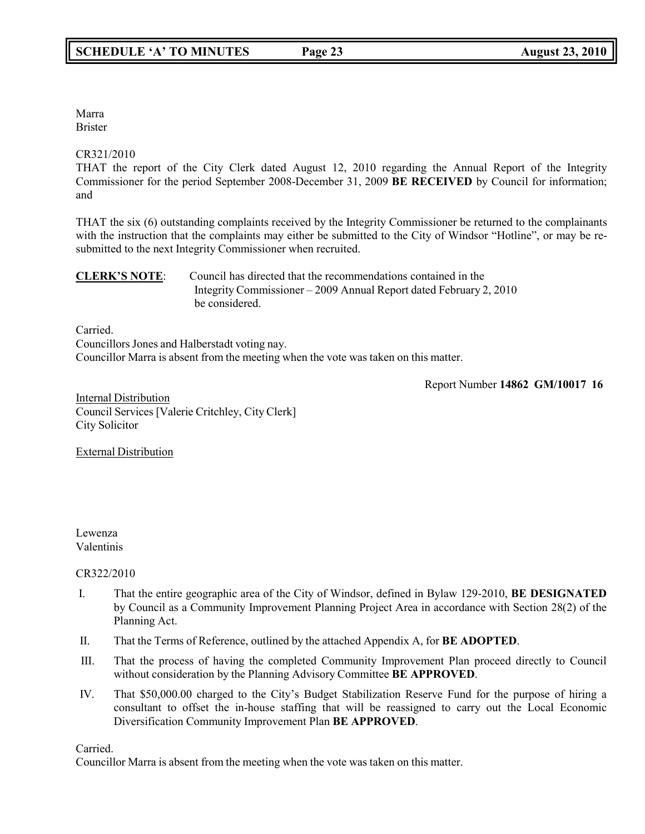Marra Brister

### CR321/2010

THAT the report of the City Clerk dated August 12, 2010 regarding the Annual Report of the Integrity Commissioner for the period September 2008-December 31, 2009 **BE RECEIVED** by Council for information; and

THAT the six (6) outstanding complaints received by the Integrity Commissioner be returned to the complainants with the instruction that the complaints may either be submitted to the City of Windsor "Hotline", or may be resubmitted to the next Integrity Commissioner when recruited.

### **CLERK'S NOTE**: Council has directed that the recommendations contained in the Integrity Commissioner – 2009 Annual Report dated February 2, 2010 be considered.

Carried.

Councillors Jones and Halberstadt voting nay. Councillor Marra is absent from the meeting when the vote was taken on this matter.

Report Number **14862 GM/10017 16**

**Internal Distribution** Council Services [Valerie Critchley, City Clerk] City Solicitor

External Distribution

Lewenza Valentinis

### CR322/2010

- I. That the entire geographic area of the City of Windsor, defined in Bylaw 129-2010, **BE DESIGNATED** by Council as a Community Improvement Planning Project Area in accordance with Section 28(2) of the Planning Act.
- II. That the Terms of Reference, outlined by the attached Appendix A, for **BE ADOPTED**.
- III. That the process of having the completed Community Improvement Plan proceed directly to Council without consideration by the Planning Advisory Committee **BE APPROVED**.
- IV. That \$50,000.00 charged to the City's Budget Stabilization Reserve Fund for the purpose of hiring a consultant to offset the in-house staffing that will be reassigned to carry out the Local Economic Diversification Community Improvement Plan **BE APPROVED**.

Carried.

Councillor Marra is absent from the meeting when the vote was taken on this matter.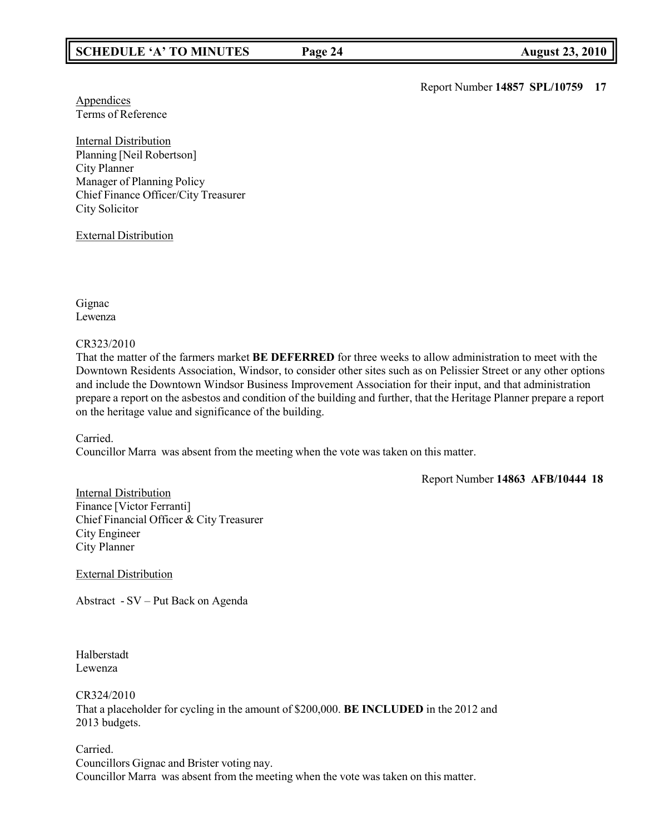Report Number **14857 SPL/10759 17**

**Appendices** Terms of Reference

Internal Distribution Planning [Neil Robertson] City Planner Manager of Planning Policy Chief Finance Officer/City Treasurer City Solicitor

External Distribution

Gignac Lewenza

### CR323/2010

That the matter of the farmers market **BE DEFERRED** for three weeks to allow administration to meet with the Downtown Residents Association, Windsor, to consider other sites such as on Pelissier Street or any other options and include the Downtown Windsor Business Improvement Association for their input, and that administration prepare a report on the asbestos and condition of the building and further, that the Heritage Planner prepare a report on the heritage value and significance of the building.

Carried.

Councillor Marra was absent from the meeting when the vote was taken on this matter.

Report Number **14863 AFB/10444 18**

Internal Distribution Finance [Victor Ferranti] Chief Financial Officer & City Treasurer City Engineer City Planner

External Distribution

Abstract - SV – Put Back on Agenda

Halberstadt Lewenza

CR324/2010

That a placeholder for cycling in the amount of \$200,000. **BE INCLUDED** in the 2012 and 2013 budgets.

Carried. Councillors Gignac and Brister voting nay. Councillor Marra was absent from the meeting when the vote was taken on this matter.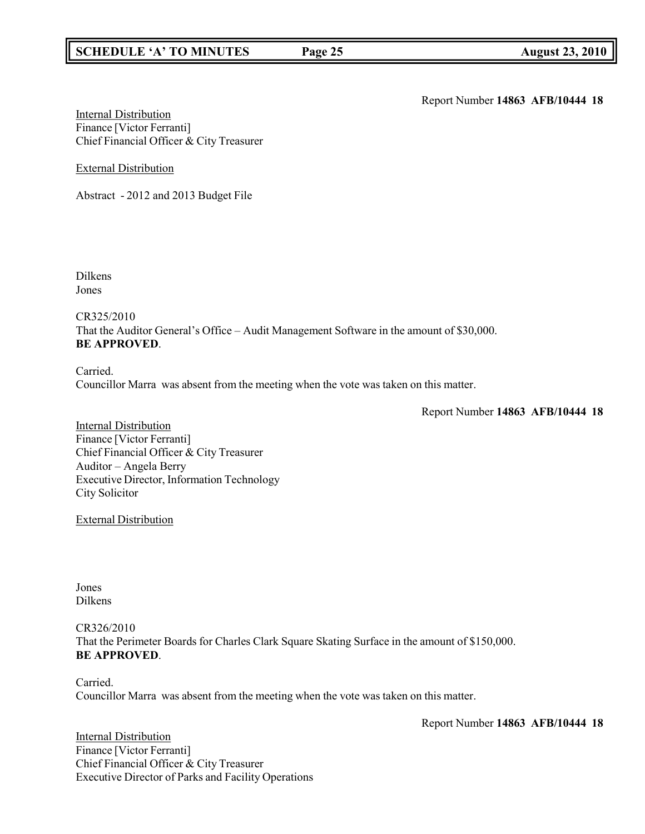### **SCHEDULE 'A' TO MINUTES Page 25 August 23, 2010**

Report Number **14863 AFB/10444 18**

Internal Distribution Finance [Victor Ferranti] Chief Financial Officer & City Treasurer

External Distribution

Abstract - 2012 and 2013 Budget File

Dilkens Jones

CR325/2010 That the Auditor General's Office – Audit Management Software in the amount of \$30,000. **BE APPROVED**.

Carried. Councillor Marra was absent from the meeting when the vote was taken on this matter.

Report Number **14863 AFB/10444 18**

Internal Distribution Finance [Victor Ferranti] Chief Financial Officer & City Treasurer Auditor – Angela Berry Executive Director, Information Technology City Solicitor

External Distribution

Jones Dilkens

CR326/2010 That the Perimeter Boards for Charles Clark Square Skating Surface in the amount of \$150,000. **BE APPROVED**.

Carried. Councillor Marra was absent from the meeting when the vote was taken on this matter.

Report Number **14863 AFB/10444 18**

**Internal Distribution** Finance [Victor Ferranti] Chief Financial Officer & City Treasurer Executive Director of Parks and Facility Operations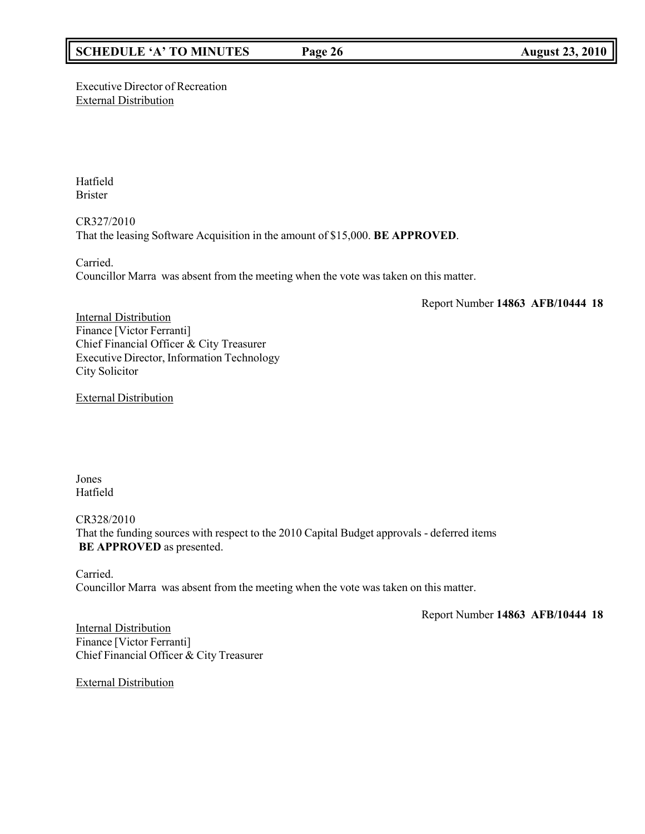### **SCHEDULE 'A' TO MINUTES Page 26 August 23, 2010**

Executive Director of Recreation External Distribution

Hatfield Brister

CR327/2010 That the leasing Software Acquisition in the amount of \$15,000. **BE APPROVED**.

Carried. Councillor Marra was absent from the meeting when the vote was taken on this matter.

Report Number **14863 AFB/10444 18**

**Internal Distribution** Finance [Victor Ferranti] Chief Financial Officer & City Treasurer Executive Director, Information Technology City Solicitor

External Distribution

Jones Hatfield

CR328/2010 That the funding sources with respect to the 2010 Capital Budget approvals - deferred items **BE APPROVED** as presented.

Carried. Councillor Marra was absent from the meeting when the vote was taken on this matter.

Report Number **14863 AFB/10444 18**

Internal Distribution Finance [Victor Ferranti] Chief Financial Officer & City Treasurer

External Distribution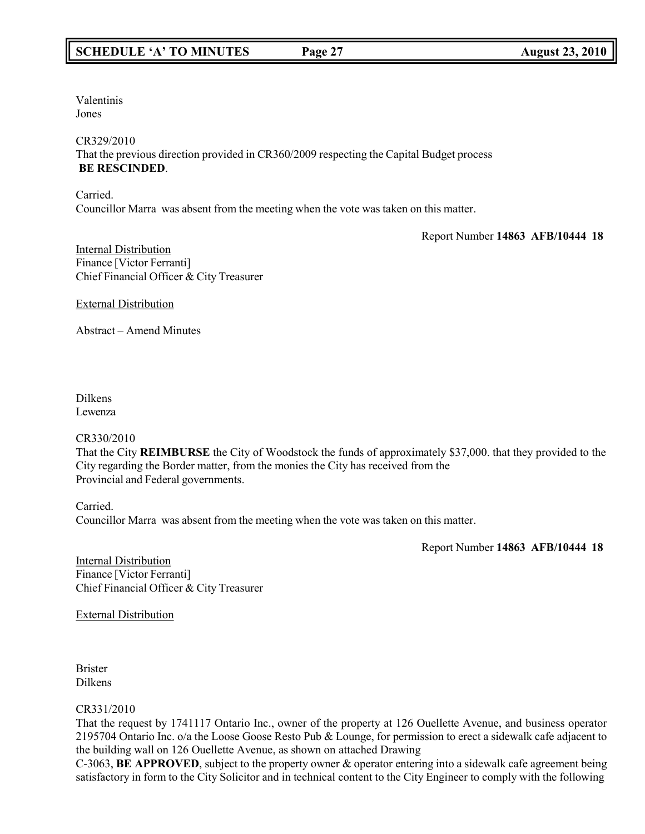Valentinis Jones

CR329/2010

That the previous direction provided in CR360/2009 respecting the Capital Budget process **BE RESCINDED**.

Carried.

Councillor Marra was absent from the meeting when the vote was taken on this matter.

Report Number **14863 AFB/10444 18**

Internal Distribution Finance [Victor Ferranti] Chief Financial Officer & City Treasurer

External Distribution

Abstract – Amend Minutes

Dilkens Lewenza

### CR330/2010

That the City **REIMBURSE** the City of Woodstock the funds of approximately \$37,000. that they provided to the City regarding the Border matter, from the monies the City has received from the Provincial and Federal governments.

Carried. Councillor Marra was absent from the meeting when the vote was taken on this matter.

Report Number **14863 AFB/10444 18**

Internal Distribution Finance [Victor Ferranti] Chief Financial Officer & City Treasurer

External Distribution

Brister Dilkens

### CR331/2010

That the request by 1741117 Ontario Inc., owner of the property at 126 Ouellette Avenue, and business operator 2195704 Ontario Inc. o/a the Loose Goose Resto Pub & Lounge, for permission to erect a sidewalk cafe adjacent to the building wall on 126 Ouellette Avenue, as shown on attached Drawing

C-3063, **BE APPROVED**, subject to the property owner & operator entering into a sidewalk cafe agreement being satisfactory in form to the City Solicitor and in technical content to the City Engineer to comply with the following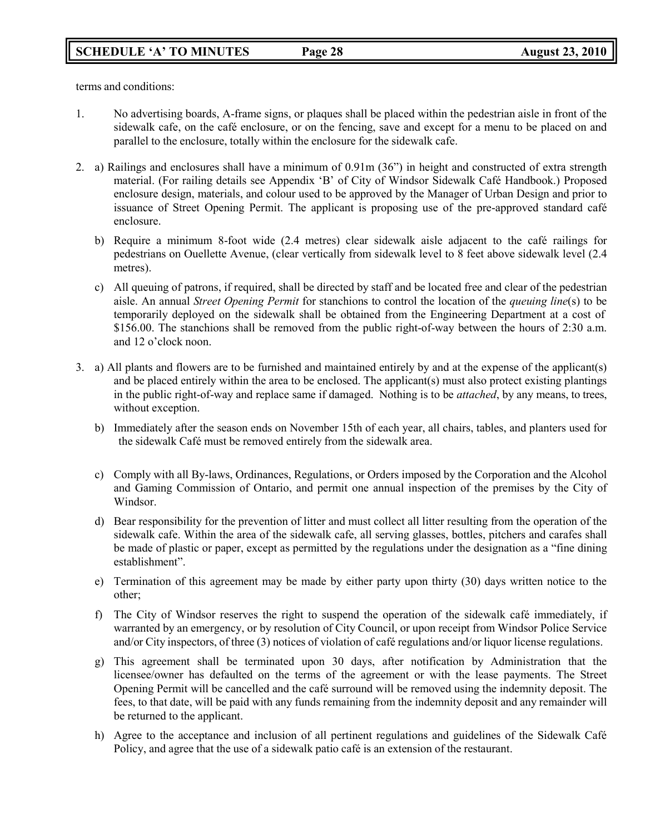terms and conditions:

- 1. No advertising boards, A-frame signs, or plaques shall be placed within the pedestrian aisle in front of the sidewalk cafe, on the café enclosure, or on the fencing, save and except for a menu to be placed on and parallel to the enclosure, totally within the enclosure for the sidewalk cafe.
- 2. a) Railings and enclosures shall have a minimum of 0.91m (36") in height and constructed of extra strength material. (For railing details see Appendix 'B' of City of Windsor Sidewalk Café Handbook.) Proposed enclosure design, materials, and colour used to be approved by the Manager of Urban Design and prior to issuance of Street Opening Permit. The applicant is proposing use of the pre-approved standard café enclosure.
	- b) Require a minimum 8-foot wide (2.4 metres) clear sidewalk aisle adjacent to the café railings for pedestrians on Ouellette Avenue, (clear vertically from sidewalk level to 8 feet above sidewalk level (2.4 metres).
	- c) All queuing of patrons, if required, shall be directed by staff and be located free and clear of the pedestrian aisle. An annual *Street Opening Permit* for stanchions to control the location of the *queuing line*(s) to be temporarily deployed on the sidewalk shall be obtained from the Engineering Department at a cost of \$156.00. The stanchions shall be removed from the public right-of-way between the hours of 2:30 a.m. and 12 o'clock noon.
- 3. a) All plants and flowers are to be furnished and maintained entirely by and at the expense of the applicant(s) and be placed entirely within the area to be enclosed. The applicant(s) must also protect existing plantings in the public right-of-way and replace same if damaged. Nothing is to be *attached*, by any means, to trees, without exception.
	- b) Immediately after the season ends on November 15th of each year, all chairs, tables, and planters used for the sidewalk Café must be removed entirely from the sidewalk area.
	- c) Comply with all By-laws, Ordinances, Regulations, or Orders imposed by the Corporation and the Alcohol and Gaming Commission of Ontario, and permit one annual inspection of the premises by the City of Windsor.
	- d) Bear responsibility for the prevention of litter and must collect all litter resulting from the operation of the sidewalk cafe. Within the area of the sidewalk cafe, all serving glasses, bottles, pitchers and carafes shall be made of plastic or paper, except as permitted by the regulations under the designation as a "fine dining establishment".
	- e) Termination of this agreement may be made by either party upon thirty (30) days written notice to the other;
	- f) The City of Windsor reserves the right to suspend the operation of the sidewalk café immediately, if warranted by an emergency, or by resolution of City Council, or upon receipt from Windsor Police Service and/or City inspectors, of three (3) notices of violation of café regulations and/or liquor license regulations.
	- g) This agreement shall be terminated upon 30 days, after notification by Administration that the licensee/owner has defaulted on the terms of the agreement or with the lease payments. The Street Opening Permit will be cancelled and the café surround will be removed using the indemnity deposit. The fees, to that date, will be paid with any funds remaining from the indemnity deposit and any remainder will be returned to the applicant.
	- h) Agree to the acceptance and inclusion of all pertinent regulations and guidelines of the Sidewalk Café Policy, and agree that the use of a sidewalk patio café is an extension of the restaurant.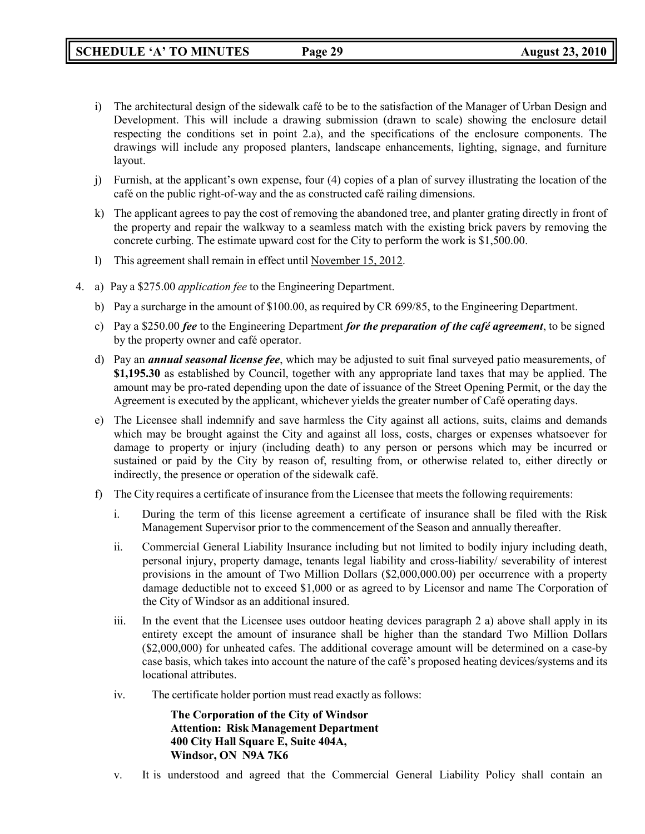- i) The architectural design of the sidewalk café to be to the satisfaction of the Manager of Urban Design and Development. This will include a drawing submission (drawn to scale) showing the enclosure detail respecting the conditions set in point 2.a), and the specifications of the enclosure components. The drawings will include any proposed planters, landscape enhancements, lighting, signage, and furniture layout.
- j) Furnish, at the applicant's own expense, four (4) copies of a plan of survey illustrating the location of the café on the public right-of-way and the as constructed café railing dimensions.
- k) The applicant agrees to pay the cost of removing the abandoned tree, and planter grating directly in front of the property and repair the walkway to a seamless match with the existing brick pavers by removing the concrete curbing. The estimate upward cost for the City to perform the work is \$1,500.00.
- l) This agreement shall remain in effect until November 15, 2012.
- 4. a) Pay a \$275.00 *application fee* to the Engineering Department.
	- b) Pay a surcharge in the amount of \$100.00, as required by CR 699/85, to the Engineering Department.
	- c) Pay a \$250.00 *fee* to the Engineering Department *for the preparation of the café agreement*, to be signed by the property owner and café operator.
	- d) Pay an *annual seasonal license fee*, which may be adjusted to suit final surveyed patio measurements, of **\$1,195.30** as established by Council, together with any appropriate land taxes that may be applied. The amount may be pro-rated depending upon the date of issuance of the Street Opening Permit, or the day the Agreement is executed by the applicant, whichever yields the greater number of Café operating days.
	- e) The Licensee shall indemnify and save harmless the City against all actions, suits, claims and demands which may be brought against the City and against all loss, costs, charges or expenses whatsoever for damage to property or injury (including death) to any person or persons which may be incurred or sustained or paid by the City by reason of, resulting from, or otherwise related to, either directly or indirectly, the presence or operation of the sidewalk café.
	- f) The City requires a certificate of insurance from the Licensee that meets the following requirements:
		- i. During the term of this license agreement a certificate of insurance shall be filed with the Risk Management Supervisor prior to the commencement of the Season and annually thereafter.
		- ii. Commercial General Liability Insurance including but not limited to bodily injury including death, personal injury, property damage, tenants legal liability and cross-liability/ severability of interest provisions in the amount of Two Million Dollars (\$2,000,000.00) per occurrence with a property damage deductible not to exceed \$1,000 or as agreed to by Licensor and name The Corporation of the City of Windsor as an additional insured.
		- iii. In the event that the Licensee uses outdoor heating devices paragraph 2 a) above shall apply in its entirety except the amount of insurance shall be higher than the standard Two Million Dollars (\$2,000,000) for unheated cafes. The additional coverage amount will be determined on a case-by case basis, which takes into account the nature of the café's proposed heating devices/systems and its locational attributes.
		- iv. The certificate holder portion must read exactly as follows:

**The Corporation of the City of Windsor Attention: Risk Management Department 400 City Hall Square E, Suite 404A, Windsor, ON N9A 7K6**

v. It is understood and agreed that the Commercial General Liability Policy shall contain an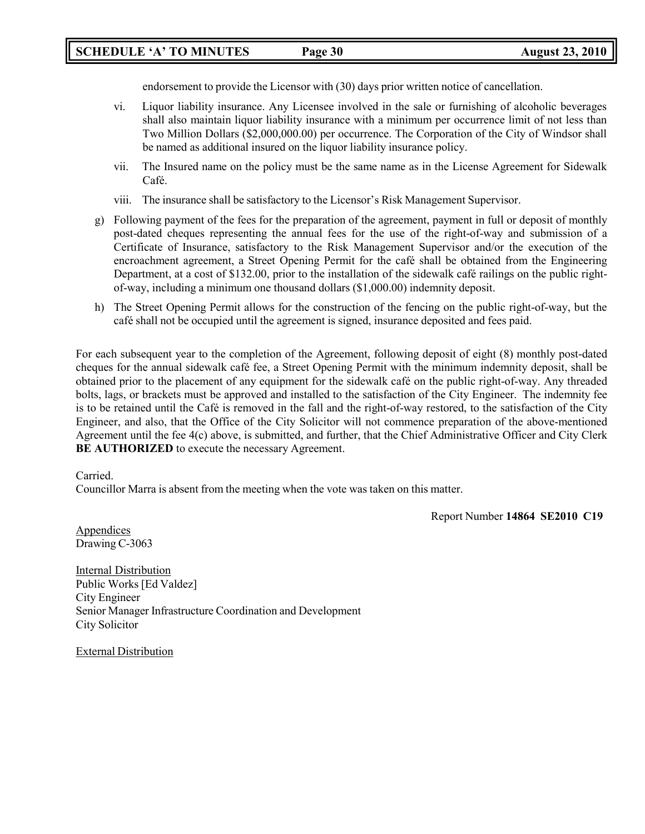### **SCHEDULE 'A' TO MINUTES Page 30 August 23, 2010**

endorsement to provide the Licensor with (30) days prior written notice of cancellation.

- vi. Liquor liability insurance. Any Licensee involved in the sale or furnishing of alcoholic beverages shall also maintain liquor liability insurance with a minimum per occurrence limit of not less than Two Million Dollars (\$2,000,000.00) per occurrence. The Corporation of the City of Windsor shall be named as additional insured on the liquor liability insurance policy.
- vii. The Insured name on the policy must be the same name as in the License Agreement for Sidewalk Café.
- viii. The insurance shall be satisfactory to the Licensor's Risk Management Supervisor.
- g) Following payment of the fees for the preparation of the agreement, payment in full or deposit of monthly post-dated cheques representing the annual fees for the use of the right-of-way and submission of a Certificate of Insurance, satisfactory to the Risk Management Supervisor and/or the execution of the encroachment agreement, a Street Opening Permit for the café shall be obtained from the Engineering Department, at a cost of \$132.00, prior to the installation of the sidewalk café railings on the public rightof-way, including a minimum one thousand dollars (\$1,000.00) indemnity deposit.
- h) The Street Opening Permit allows for the construction of the fencing on the public right-of-way, but the café shall not be occupied until the agreement is signed, insurance deposited and fees paid.

For each subsequent year to the completion of the Agreement, following deposit of eight (8) monthly post-dated cheques for the annual sidewalk café fee, a Street Opening Permit with the minimum indemnity deposit, shall be obtained prior to the placement of any equipment for the sidewalk café on the public right-of-way. Any threaded bolts, lags, or brackets must be approved and installed to the satisfaction of the City Engineer. The indemnity fee is to be retained until the Café is removed in the fall and the right-of-way restored, to the satisfaction of the City Engineer, and also, that the Office of the City Solicitor will not commence preparation of the above-mentioned Agreement until the fee 4(c) above, is submitted, and further, that the Chief Administrative Officer and City Clerk **BE AUTHORIZED** to execute the necessary Agreement.

Carried.

Councillor Marra is absent from the meeting when the vote was taken on this matter.

Report Number **14864 SE2010 C19**

Appendices Drawing C-3063

Internal Distribution Public Works [Ed Valdez] City Engineer Senior Manager Infrastructure Coordination and Development City Solicitor

External Distribution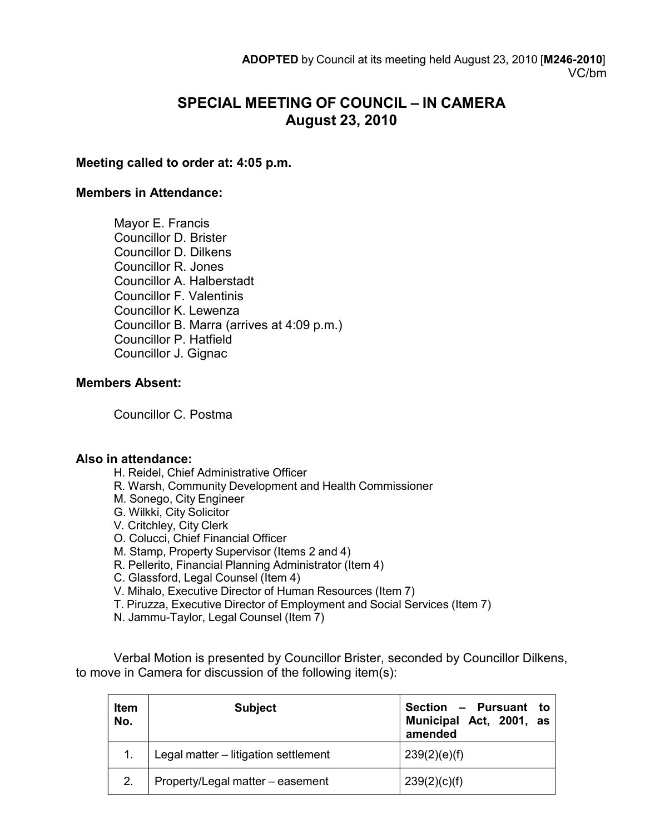# **SPECIAL MEETING OF COUNCIL – IN CAMERA August 23, 2010**

### **Meeting called to order at: 4:05 p.m.**

### **Members in Attendance:**

Mayor E. Francis Councillor D. Brister Councillor D. Dilkens Councillor R. Jones Councillor A. Halberstadt Councillor F. Valentinis Councillor K. Lewenza Councillor B. Marra (arrives at 4:09 p.m.) Councillor P. Hatfield Councillor J. Gignac

### **Members Absent:**

Councillor C. Postma

### **Also in attendance:**

- H. Reidel, Chief Administrative Officer
- R. Warsh, Community Development and Health Commissioner
- M. Sonego, City Engineer
- G. Wilkki, City Solicitor
- V. Critchley, City Clerk
- O. Colucci, Chief Financial Officer
- M. Stamp, Property Supervisor (Items 2 and 4)
- R. Pellerito, Financial Planning Administrator (Item 4)
- C. Glassford, Legal Counsel (Item 4)
- V. Mihalo, Executive Director of Human Resources (Item 7)
- T. Piruzza, Executive Director of Employment and Social Services (Item 7)
- N. Jammu-Taylor, Legal Counsel (Item 7)

Verbal Motion is presented by Councillor Brister, seconded by Councillor Dilkens, to move in Camera for discussion of the following item(s):

| Item<br>No. | <b>Subject</b>                       | Section - Pursuant to<br>Municipal Act, 2001, as<br>amended |
|-------------|--------------------------------------|-------------------------------------------------------------|
|             | Legal matter – litigation settlement | 239(2)(e)(f)                                                |
| 2.          | Property/Legal matter - easement     | 239(2)(c)(f)                                                |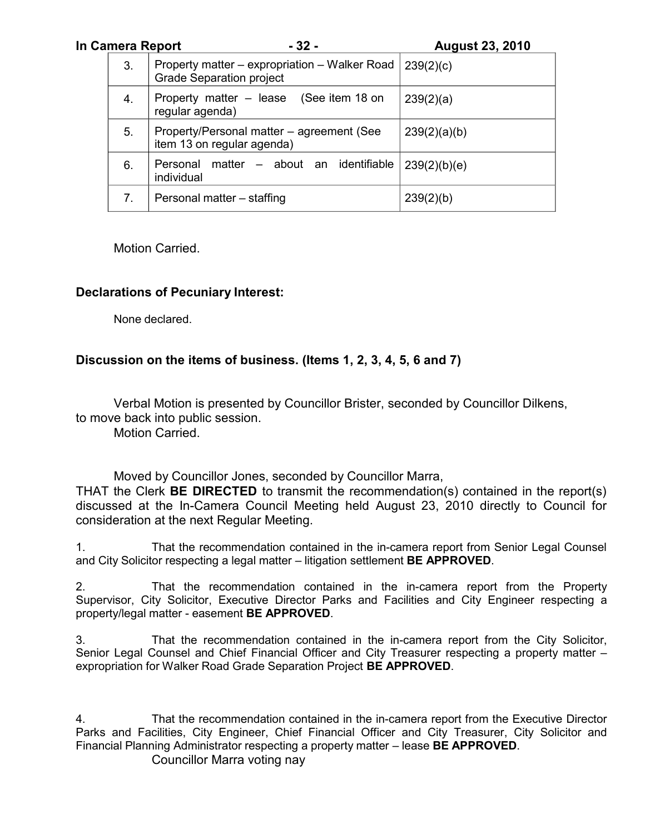| In Camera Report | $-32-$                                                                           | <b>August 23, 2010</b> |
|------------------|----------------------------------------------------------------------------------|------------------------|
| 3.               | Property matter – expropriation – Walker Road<br><b>Grade Separation project</b> | 239(2)(c)              |
| 4.               | Property matter – lease (See item 18 on<br>regular agenda)                       | 239(2)(a)              |
| 5.               | Property/Personal matter – agreement (See<br>item 13 on regular agenda)          | 239(2)(a)(b)           |
| 6.               | Personal matter – about an identifiable<br>individual                            | 239(2)(b)(e)           |
| 7.               | Personal matter – staffing                                                       | 239(2)(b)              |

Motion Carried.

# **Declarations of Pecuniary Interest:**

None declared.

## **Discussion on the items of business. (Items 1, 2, 3, 4, 5, 6 and 7)**

Verbal Motion is presented by Councillor Brister, seconded by Councillor Dilkens, to move back into public session. Motion Carried.

Moved by Councillor Jones, seconded by Councillor Marra,

THAT the Clerk **BE DIRECTED** to transmit the recommendation(s) contained in the report(s) discussed at the In-Camera Council Meeting held August 23, 2010 directly to Council for consideration at the next Regular Meeting.

1. That the recommendation contained in the in-camera report from Senior Legal Counsel and City Solicitor respecting a legal matter – litigation settlement **BE APPROVED**.

2. That the recommendation contained in the in-camera report from the Property Supervisor, City Solicitor, Executive Director Parks and Facilities and City Engineer respecting a property/legal matter - easement **BE APPROVED**.

3. That the recommendation contained in the in-camera report from the City Solicitor, Senior Legal Counsel and Chief Financial Officer and City Treasurer respecting a property matter – expropriation for Walker Road Grade Separation Project **BE APPROVED**.

4. That the recommendation contained in the in-camera report from the Executive Director Parks and Facilities, City Engineer, Chief Financial Officer and City Treasurer, City Solicitor and Financial Planning Administrator respecting a property matter – lease **BE APPROVED**.

Councillor Marra voting nay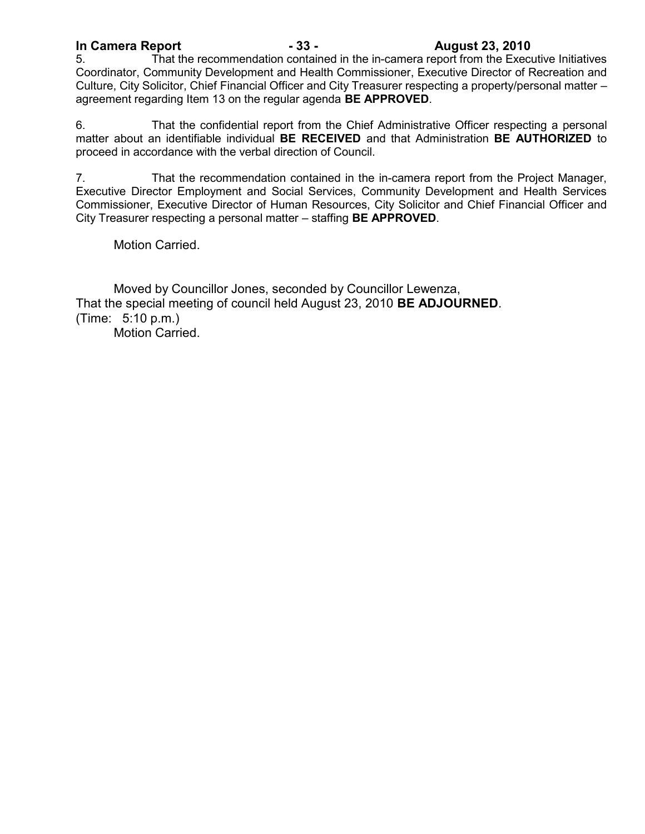# **In Camera Report - 33 - August 23, 2010**

That the recommendation contained in the in-camera report from the Executive Initiatives Coordinator, Community Development and Health Commissioner, Executive Director of Recreation and Culture, City Solicitor, Chief Financial Officer and City Treasurer respecting a property/personal matter – agreement regarding Item 13 on the regular agenda **BE APPROVED**.

6. That the confidential report from the Chief Administrative Officer respecting a personal matter about an identifiable individual **BE RECEIVED** and that Administration **BE AUTHORIZED** to proceed in accordance with the verbal direction of Council.

7. That the recommendation contained in the in-camera report from the Project Manager, Executive Director Employment and Social Services, Community Development and Health Services Commissioner, Executive Director of Human Resources, City Solicitor and Chief Financial Officer and City Treasurer respecting a personal matter – staffing **BE APPROVED**.

Motion Carried.

Moved by Councillor Jones, seconded by Councillor Lewenza, That the special meeting of council held August 23, 2010 **BE ADJOURNED**. (Time: 5:10 p.m.)

Motion Carried.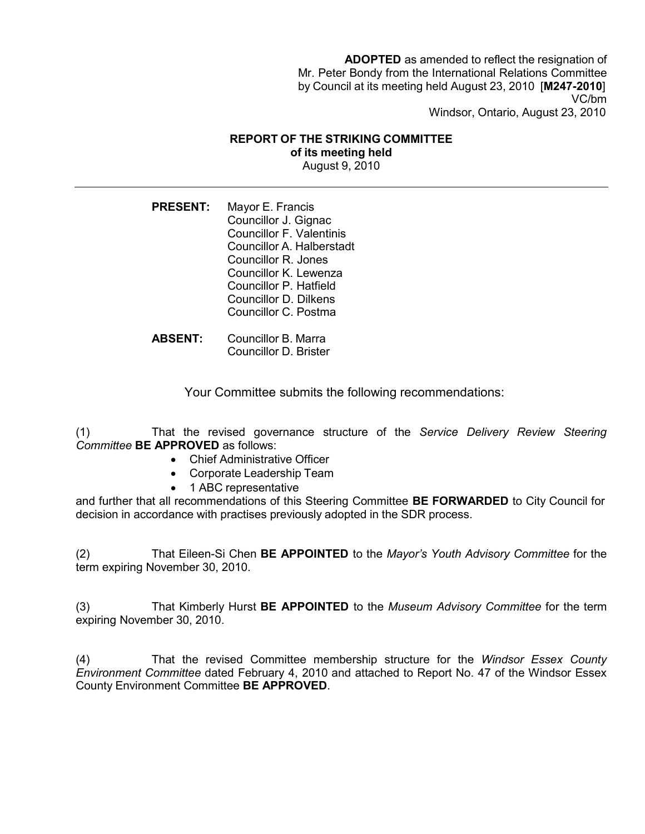**ADOPTED** as amended to reflect the resignation of Mr. Peter Bondy from the International Relations Committee by Council at its meeting held August 23, 2010 [**M247-2010**] VC/bm Windsor, Ontario, August 23, 2010

### **REPORT OF THE STRIKING COMMITTEE of its meeting held**

August 9, 2010

**PRESENT:** Mayor E. Francis Councillor J. Gignac Councillor F. Valentinis Councillor A. Halberstadt Councillor R. Jones Councillor K. Lewenza Councillor P. Hatfield Councillor D. Dilkens Councillor C. Postma

**ABSENT:** Councillor B. Marra Councillor D. Brister

Your Committee submits the following recommendations:

(1) That the revised governance structure of the *Service Delivery Review Steering Committee* **BE APPROVED** as follows:

- Chief Administrative Officer
- Corporate Leadership Team
- 1 ABC representative

and further that all recommendations of this Steering Committee **BE FORWARDED** to City Council for decision in accordance with practises previously adopted in the SDR process.

(2) That Eileen-Si Chen **BE APPOINTED** to the *Mayor's Youth Advisory Committee* for the term expiring November 30, 2010.

(3) That Kimberly Hurst **BE APPOINTED** to the *Museum Advisory Committee* for the term expiring November 30, 2010.

(4) That the revised Committee membership structure for the *Windsor Essex County Environment Committee* dated February 4, 2010 and attached to Report No. 47 of the Windsor Essex County Environment Committee **BE APPROVED**.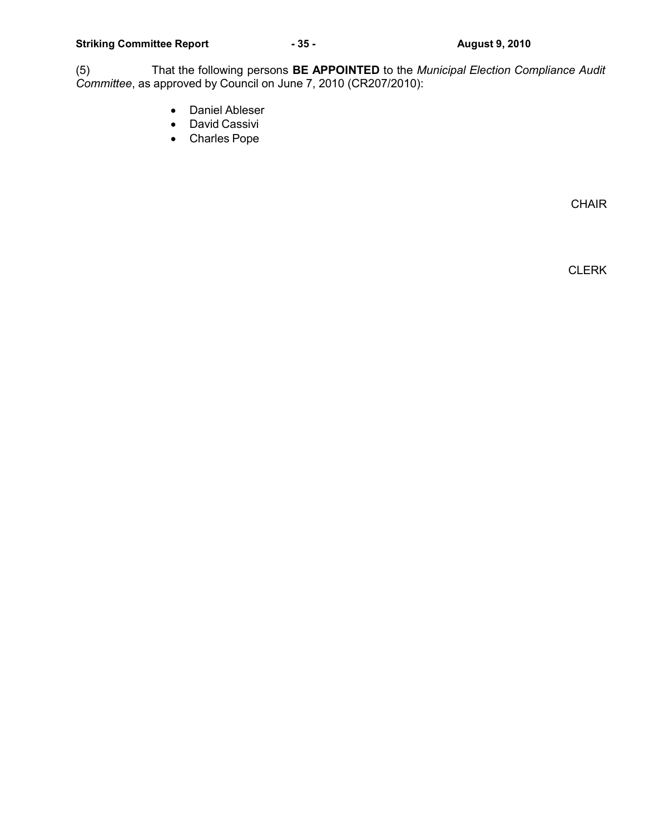(5) That the following persons **BE APPOINTED** to the *Municipal Election Compliance Audit Committee*, as approved by Council on June 7, 2010 (CR207/2010):

- Daniel Ableser
- David Cassivi
- Charles Pope

CHAIR

CLERK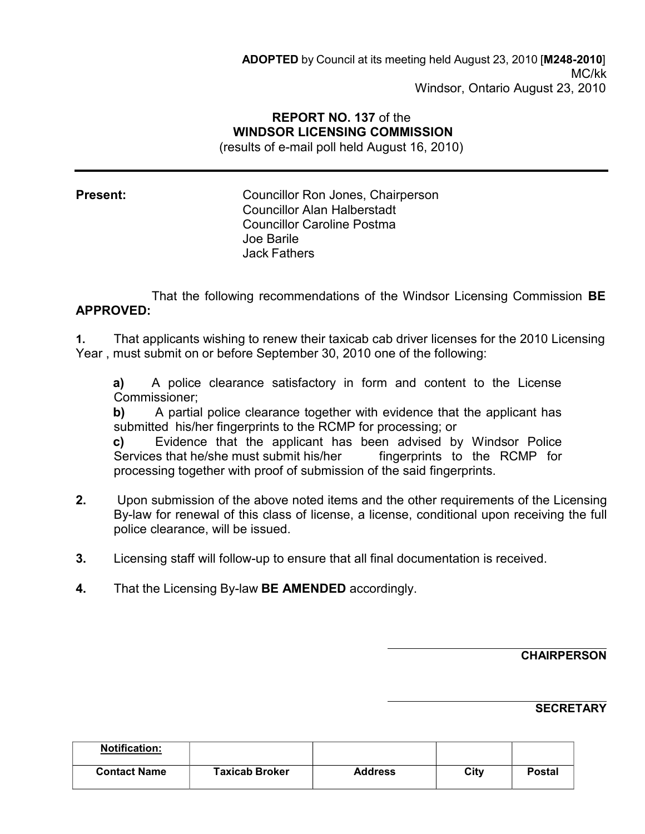# **REPORT NO. 137** of the **WINDSOR LICENSING COMMISSION**

(results of e-mail poll held August 16, 2010)

**Present:** Councillor Ron Jones, Chairperson Councillor Alan Halberstadt Councillor Caroline Postma Joe Barile Jack Fathers

That the following recommendations of the Windsor Licensing Commission **BE APPROVED:**

**1.** That applicants wishing to renew their taxicab cab driver licenses for the 2010 Licensing Year , must submit on or before September 30, 2010 one of the following:

**a)** A police clearance satisfactory in form and content to the License Commissioner;

**b)** A partial police clearance together with evidence that the applicant has submitted his/her fingerprints to the RCMP for processing; or

**c)** Evidence that the applicant has been advised by Windsor Police Services that he/she must submit his/her fingerprints to the RCMP for processing together with proof of submission of the said fingerprints.

- **2.** Upon submission of the above noted items and the other requirements of the Licensing By-law for renewal of this class of license, a license, conditional upon receiving the full police clearance, will be issued.
- **3.** Licensing staff will follow-up to ensure that all final documentation is received.
- **4.** That the Licensing By-law **BE AMENDED** accordingly.

### **CHAIRPERSON**

### **SECRETARY**

| <b>Notification:</b> |                       |                |      |               |
|----------------------|-----------------------|----------------|------|---------------|
| <b>Contact Name</b>  | <b>Taxicab Broker</b> | <b>Address</b> | City | <b>Postal</b> |